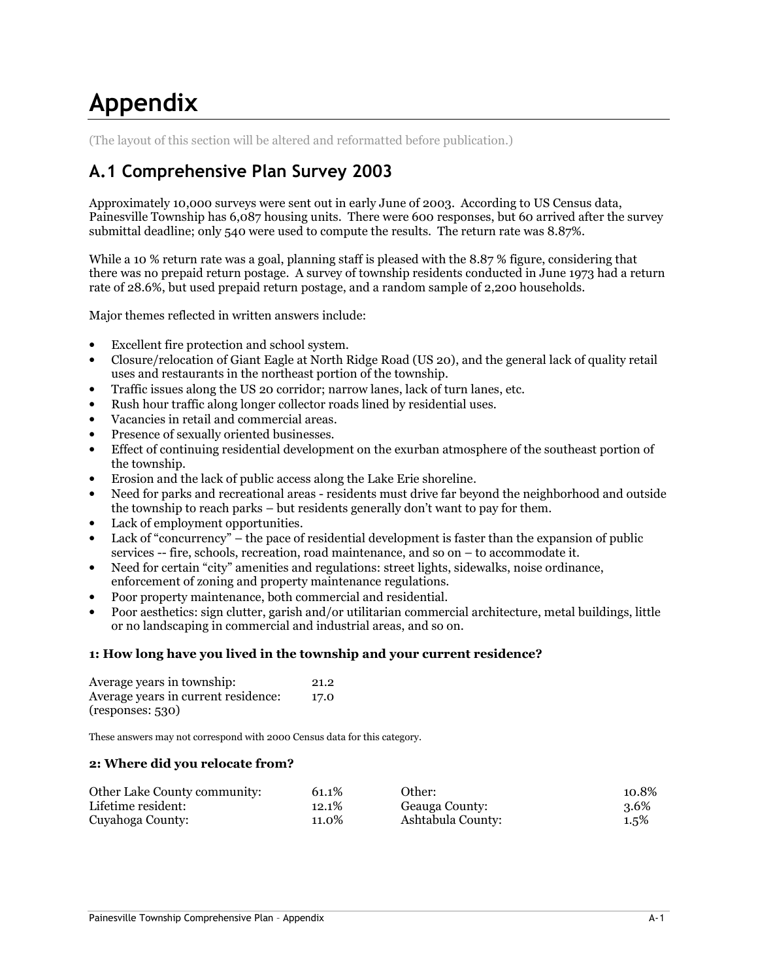# Appendix

(The layout of this section will be altered and reformatted before publication.)

# A.1 Comprehensive Plan Survey 2003

Approximately 10,000 surveys were sent out in early June of 2003. According to US Census data, Painesville Township has 6,087 housing units. There were 600 responses, but 60 arrived after the survey submittal deadline; only 540 were used to compute the results. The return rate was 8.87%.

While a 10 % return rate was a goal, planning staff is pleased with the 8.87 % figure, considering that there was no prepaid return postage. A survey of township residents conducted in June 1973 had a return rate of 28.6%, but used prepaid return postage, and a random sample of 2,200 households.

Major themes reflected in written answers include:

- Excellent fire protection and school system.
- Closure/relocation of Giant Eagle at North Ridge Road (US 20), and the general lack of quality retail uses and restaurants in the northeast portion of the township.
- Traffic issues along the US 20 corridor; narrow lanes, lack of turn lanes, etc.
- Rush hour traffic along longer collector roads lined by residential uses.
- Vacancies in retail and commercial areas.
- Presence of sexually oriented businesses.
- Effect of continuing residential development on the exurban atmosphere of the southeast portion of the township.
- Erosion and the lack of public access along the Lake Erie shoreline.
- Need for parks and recreational areas residents must drive far beyond the neighborhood and outside the township to reach parks – but residents generally don't want to pay for them.
- Lack of employment opportunities.
- Lack of "concurrency" the pace of residential development is faster than the expansion of public services -- fire, schools, recreation, road maintenance, and so on – to accommodate it.
- Need for certain "city" amenities and regulations: street lights, sidewalks, noise ordinance, enforcement of zoning and property maintenance regulations.
- Poor property maintenance, both commercial and residential.
- Poor aesthetics: sign clutter, garish and/or utilitarian commercial architecture, metal buildings, little or no landscaping in commercial and industrial areas, and so on.

# 1: How long have you lived in the township and your current residence?

| Average years in township:          | 21.2 |
|-------------------------------------|------|
| Average years in current residence: | 17.0 |
| (responses: 530)                    |      |

These answers may not correspond with 2000 Census data for this category.

#### 2: Where did you relocate from?

| Other Lake County community: | 61.1%    | Other:            | 10.8%   |
|------------------------------|----------|-------------------|---------|
| Lifetime resident:           | $12.1\%$ | Geauga County:    | 3.6%    |
| Cuyahoga County:             | 11.0%    | Ashtabula County: | $1.5\%$ |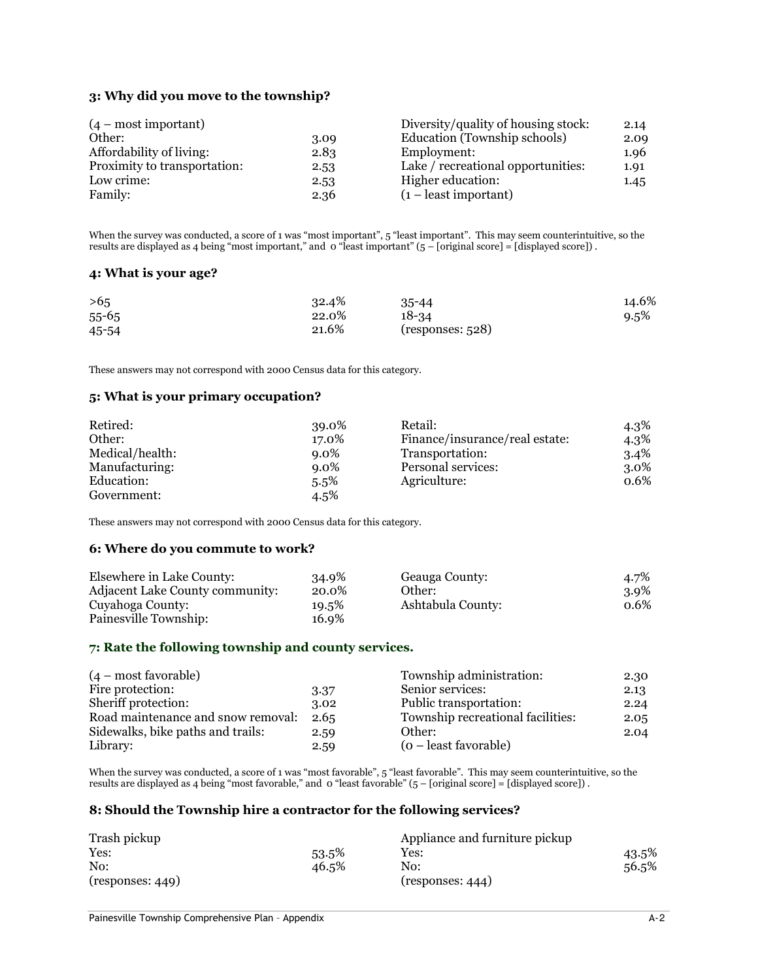# 3: Why did you move to the township?

| $(4 - most important)$       |      | Diversity/quality of housing stock: | 2.14 |
|------------------------------|------|-------------------------------------|------|
| Other:                       | 3.09 | Education (Township schools)        | 2.09 |
| Affordability of living:     | 2.83 | Employment:                         | 1.96 |
| Proximity to transportation: | 2.53 | Lake / recreational opportunities:  | 1.91 |
| Low crime:                   | 2.53 | Higher education:                   | 1.45 |
| Family:                      | 2.36 | $(1 -$ least important)             |      |

When the survey was conducted, a score of 1 was "most important", 5 "least important". This may seem counterintuitive, so the results are displayed as 4 being "most important," and 0 "least important" (5 – [original score] = [displayed score]) .

#### 4: What is your age?

| >6.5      | 32.4% | $35 - 44$         | 14.6%   |
|-----------|-------|-------------------|---------|
| $55 - 65$ | 22.0% | 18-34             | $9.5\%$ |
| 45-54     | 21.6% | (responents: 528) |         |

These answers may not correspond with 2000 Census data for this category.

#### 5: What is your primary occupation?

| Retired:        | 39.0%   | Retail:                        | 4.3%    |
|-----------------|---------|--------------------------------|---------|
| Other:          | 17.0%   | Finance/insurance/real estate: | $4.3\%$ |
| Medical/health: | $9.0\%$ | Transportation:                | $3.4\%$ |
| Manufacturing:  | $9.0\%$ | Personal services:             | $3.0\%$ |
| Education:      | $5.5\%$ | Agriculture:                   | 0.6%    |
| Government:     | $4.5\%$ |                                |         |

These answers may not correspond with 2000 Census data for this category.

#### 6: Where do you commute to work?

| Elsewhere in Lake County:       | 34.9% | Geauga County:    | 4.7%    |
|---------------------------------|-------|-------------------|---------|
| Adjacent Lake County community: | 20.0% | Other:            | $3.9\%$ |
| Cuyahoga County:                | 19.5% | Ashtabula County: | 0.6%    |
| Painesville Township:           | 16.9% |                   |         |

#### 7: Rate the following township and county services.

| $(4 - most favorable)$             |      | Township administration:          | 2.30 |
|------------------------------------|------|-----------------------------------|------|
| Fire protection:                   | 3.37 | Senior services:                  | 2.13 |
| Sheriff protection:                | 3.02 | Public transportation:            | 2.24 |
| Road maintenance and snow removal: | 2.65 | Township recreational facilities: | 2.05 |
| Sidewalks, bike paths and trails:  | 2.59 | Other:                            | 2.04 |
| Library:                           | 2.59 | (o – least favorable)             |      |

When the survey was conducted, a score of 1 was "most favorable", 5 "least favorable". This may seem counterintuitive, so the results are displayed as 4 being "most favorable," and 0 "least favorable" (5 – [original score] = [displayed score]) .

#### 8: Should the Township hire a contractor for the following services?

| Trash pickup      |       | Appliance and furniture pickup |       |
|-------------------|-------|--------------------------------|-------|
| Yes:              | 53.5% | Yes:                           | 43.5% |
| No:               | 46.5% | No:                            | 56.5% |
| (responents: 449) |       | (responents: 444)              |       |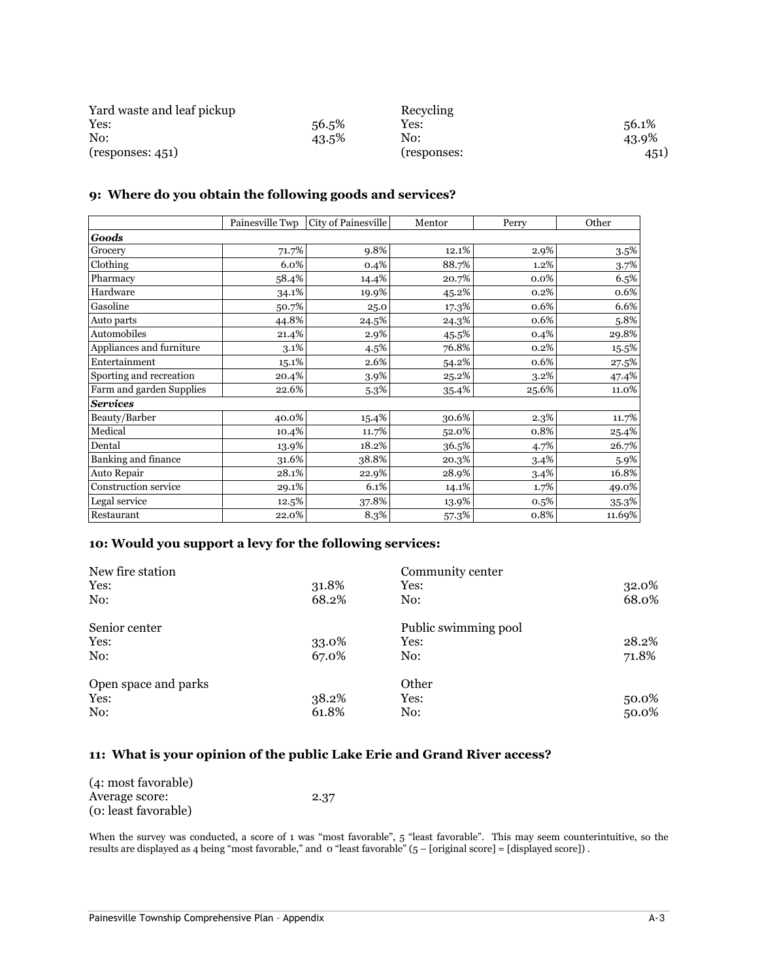| Yard waste and leaf pickup |       | Recycling   |       |
|----------------------------|-------|-------------|-------|
| Yes:                       | 56.5% | Yes:        | 56.1% |
| No:                        | 43.5% | No:         | 43.9% |
| (responents: 451)          |       | (responses: | 451)  |

# 9: Where do you obtain the following goods and services?

|                          | Painesville Twp | City of Painesville | Mentor | Perry   | Other    |
|--------------------------|-----------------|---------------------|--------|---------|----------|
| <b>Goods</b>             |                 |                     |        |         |          |
| Grocery                  | 71.7%           | 9.8%                | 12.1%  | 2.9%    | $3.5\%$  |
| Clothing                 | 6.0%            | 0.4%                | 88.7%  | 1.2%    | 3.7%     |
| Pharmacy                 | 58.4%           | 14.4%               | 20.7%  | 0.0%    | 6.5%     |
| Hardware                 | 34.1%           | 19.9%               | 45.2%  | 0.2%    | 0.6%     |
| Gasoline                 | 50.7%           | 25.0                | 17.3%  | 0.6%    | 6.6%     |
| Auto parts               | 44.8%           | 24.5%               | 24.3%  | 0.6%    | 5.8%     |
| Automobiles              | 21.4%           | 2.9%                | 45.5%  | 0.4%    | 29.8%    |
| Appliances and furniture | $3.1\%$         | 4.5%                | 76.8%  | 0.2%    | 15.5%    |
| Entertainment            | 15.1%           | 2.6%                | 54.2%  | 0.6%    | 27.5%    |
| Sporting and recreation  | 20.4%           | 3.9%                | 25.2%  | $3.2\%$ | 47.4%    |
| Farm and garden Supplies | 22.6%           | 5.3%                | 35.4%  | 25.6%   | 11.0%    |
| <b>Services</b>          |                 |                     |        |         |          |
| Beauty/Barber            | 40.0%           | 15.4%               | 30.6%  | 2.3%    | 11.7%    |
| Medical                  | 10.4%           | 11.7%               | 52.0%  | 0.8%    | 25.4%    |
| Dental                   | 13.9%           | 18.2%               | 36.5%  | 4.7%    | 26.7%    |
| Banking and finance      | 31.6%           | 38.8%               | 20.3%  | 3.4%    | 5.9%     |
| Auto Repair              | 28.1%           | 22.9%               | 28.9%  | 3.4%    | 16.8%    |
| Construction service     | 29.1%           | 6.1%                | 14.1%  | 1.7%    | 49.0%    |
| Legal service            | 12.5%           | 37.8%               | 13.9%  | 0.5%    | $35.3\%$ |
| Restaurant               | 22.0%           | 8.3%                | 57.3%  | 0.8%    | 11.69%   |

# 10: Would you support a levy for the following services:

| New fire station     |       | Community center     |       |
|----------------------|-------|----------------------|-------|
| Yes:                 | 31.8% | Yes:                 | 32.0% |
| No:                  | 68.2% | No:                  | 68.0% |
| Senior center        |       | Public swimming pool |       |
| Yes:                 | 33.0% | Yes:                 | 28.2% |
| No:                  | 67.0% | No:                  | 71.8% |
| Open space and parks |       | Other                |       |
| Yes:                 | 38.2% | Yes:                 | 50.0% |
| No:                  | 61.8% | No:                  | 50.0% |

# 11: What is your opinion of the public Lake Erie and Grand River access?

| (4: most favorable)  |      |
|----------------------|------|
| Average score:       | 2.37 |
| (o: least favorable) |      |

When the survey was conducted, a score of 1 was "most favorable", 5 "least favorable". This may seem counterintuitive, so the results are displayed as 4 being "most favorable," and 0 "least favorable" (5 – [original score] = [displayed score]) .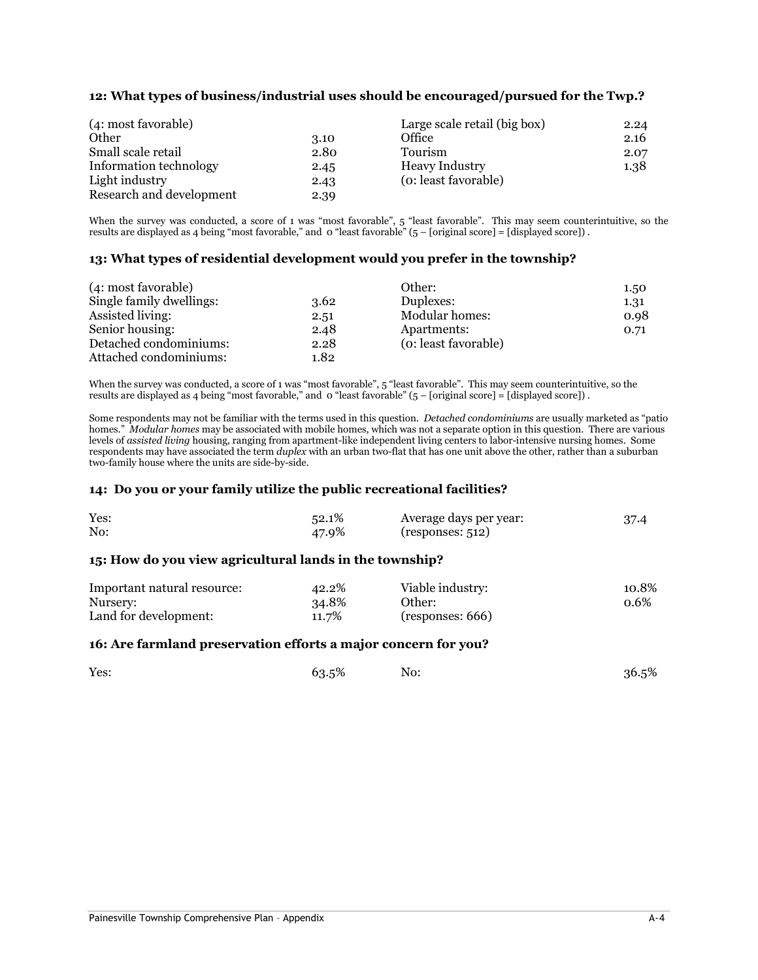# 12: What types of business/industrial uses should be encouraged/pursued for the Twp.?

| (4: most favorable)      |      | Large scale retail (big box) | 2.24 |
|--------------------------|------|------------------------------|------|
| Other                    | 3.10 | Office                       | 2.16 |
| Small scale retail       | 2.80 | Tourism                      | 2.07 |
| Information technology   | 2.45 | Heavy Industry               | 1.38 |
| Light industry           | 2.43 | (o: least favorable)         |      |
| Research and development | 2.39 |                              |      |

When the survey was conducted, a score of 1 was "most favorable", 5 "least favorable". This may seem counterintuitive, so the results are displayed as 4 being "most favorable," and 0 "least favorable" (5 – [original score] = [displayed score]) .

#### 13: What types of residential development would you prefer in the township?

| (4: most favorable)      |      | Other:               | 1.50 |
|--------------------------|------|----------------------|------|
| Single family dwellings: | 3.62 | Duplexes:            | 1.31 |
| Assisted living:         | 2.51 | Modular homes:       | 0.98 |
| Senior housing:          | 2.48 | Apartments:          | 0.71 |
| Detached condominiums:   | 2.28 | (o: least favorable) |      |
| Attached condominiums:   | 1.82 |                      |      |

When the survey was conducted, a score of 1 was "most favorable", 5 "least favorable". This may seem counterintuitive, so the results are displayed as 4 being "most favorable," and 0 "least favorable" (5 – [original score] = [displayed score]) .

Some respondents may not be familiar with the terms used in this question. *Detached condominiums* are usually marketed as "patio homes." Modular homes may be associated with mobile homes, which was not a separate option in this question. There are various levels of assisted living housing, ranging from apartment-like independent living centers to labor-intensive nursing homes. Some respondents may have associated the term *duplex* with an urban two-flat that has one unit above the other, rather than a suburban two-family house where the units are side-by-side.

#### 14: Do you or your family utilize the public recreational facilities?

| Yes: | 52.1% | Average days per year: | 37.4 |
|------|-------|------------------------|------|
| No:  | 47.9% | (responents: 512)      |      |

#### 15: How do you view agricultural lands in the township?

| Important natural resource: | 42.2% | Viable industry:  | 10.8%   |
|-----------------------------|-------|-------------------|---------|
| Nursery:                    | 34.8% | Other:            | $0.6\%$ |
| Land for development:       | 11.7% | (responents: 666) |         |

#### 16: Are farmland preservation efforts a major concern for you?

| Yes: | 63.5% | No: | 36.5% |
|------|-------|-----|-------|
|      |       |     |       |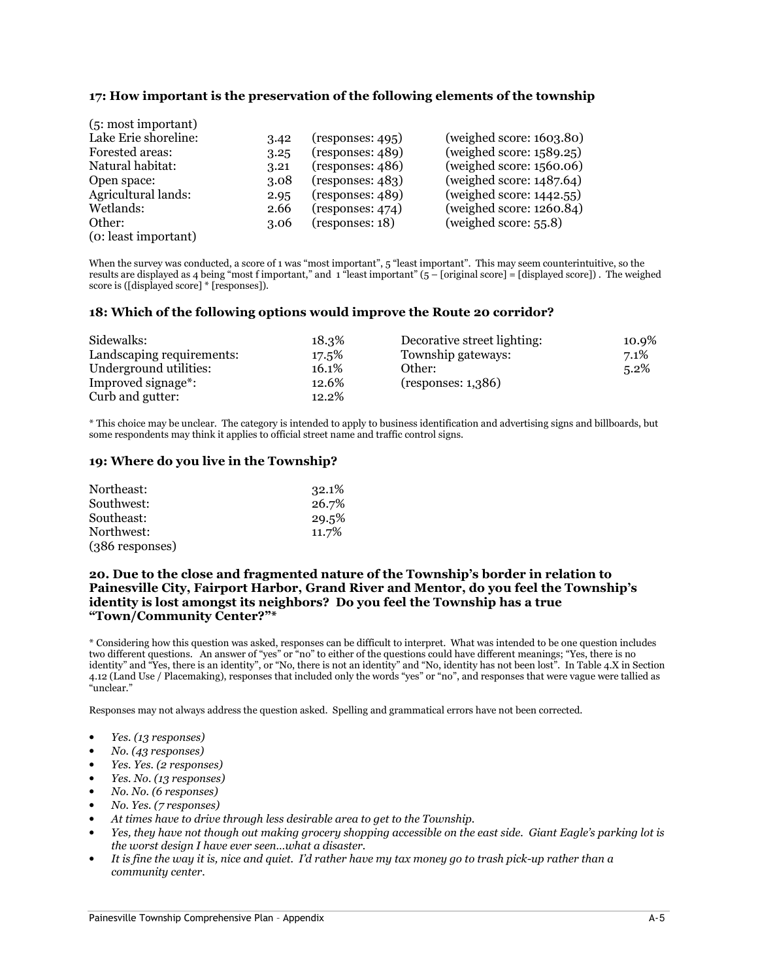## 17: How important is the preservation of the following elements of the township

| (5: most important)  |      |                   |                             |
|----------------------|------|-------------------|-----------------------------|
| Lake Erie shoreline: | 3.42 | (responents: 495) | (weighted score: 1603.80)   |
| Forested areas:      | 3.25 | (responents: 489) | (weighed score: $1589.25$ ) |
| Natural habitat:     | 3.21 | (responents: 486) | (weighted score: 1560.06)   |
| Open space:          | 3.08 | (responents: 483) | (weighed score: $1487.64$ ) |
| Agricultural lands:  | 2.95 | (responents: 489) | (weighed score: $1442.55$ ) |
| Wetlands:            | 2.66 | (responents: 474) | (weighed score: $1260.84$ ) |
| Other:               | 3.06 | (responents: 18)  | (weighed score: $55.8$ )    |
| (o: least important) |      |                   |                             |

When the survey was conducted, a score of 1 was "most important", 5 "least important". This may seem counterintuitive, so the results are displayed as 4 being "most f important," and  $\frac{1}{2}$ "least important" ( $\frac{1}{2}$  – [original score] = [displayed score]). The weighed score is ([displayed score] \* [responses]).

#### 18: Which of the following options would improve the Route 20 corridor?

| Sidewalks:                      | 18.3% | Decorative street lighting: | 10.9%   |
|---------------------------------|-------|-----------------------------|---------|
| Landscaping requirements:       | 17.5% | Township gateways:          | $7.1\%$ |
| Underground utilities:          | 16.1% | Other:                      | 5.2%    |
| Improved signage <sup>*</sup> : | 12.6% | (responents: 1,386)         |         |
| Curb and gutter:                | 12.2% |                             |         |

\* This choice may be unclear. The category is intended to apply to business identification and advertising signs and billboards, but some respondents may think it applies to official street name and traffic control signs.

#### 19: Where do you live in the Township?

| Northeast:      | 32.1% |
|-----------------|-------|
| Southwest:      | 26.7% |
| Southeast:      | 29.5% |
| Northwest:      | 11.7% |
| (386 responses) |       |

#### 20. Due to the close and fragmented nature of the Township's border in relation to Painesville City, Fairport Harbor, Grand River and Mentor, do you feel the Township's identity is lost amongst its neighbors? Do you feel the Township has a true "Town/Community Center?"\*

\* Considering how this question was asked, responses can be difficult to interpret. What was intended to be one question includes two different questions. An answer of "yes" or "no" to either of the questions could have different meanings; "Yes, there is no identity" and "Yes, there is an identity", or "No, there is not an identity" and "No, identity has not been lost". In Table 4.X in Section 4.12 (Land Use / Placemaking), responses that included only the words "yes" or "no", and responses that were vague were tallied as "unclear."

- Yes. (13 responses)
- No. (43 responses)
- Yes. Yes. (2 responses)
- Yes. No. (13 responses)
- No. No. (6 responses)
- No. Yes. (7 responses)
- At times have to drive through less desirable area to get to the Township.
- Yes, they have not though out making grocery shopping accessible on the east side. Giant Eagle's parking lot is the worst design I have ever seen…what a disaster.
- It is fine the way it is, nice and quiet. I'd rather have my tax money go to trash pick-up rather than a community center.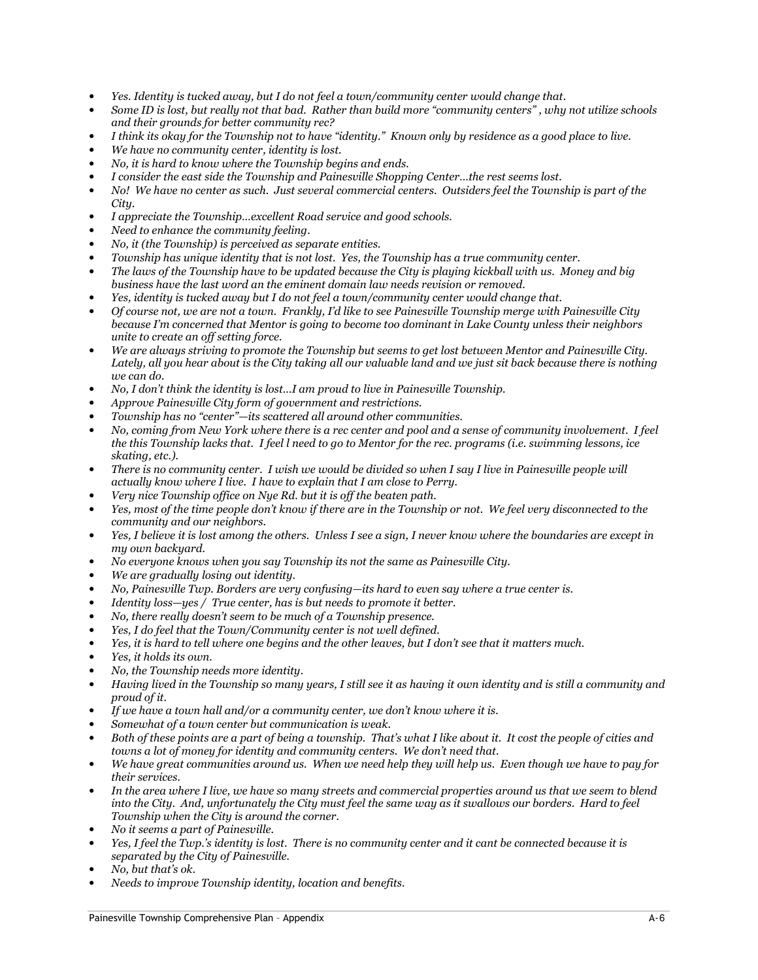- Yes. Identity is tucked away, but I do not feel a town/community center would change that.
- Some ID is lost, but really not that bad. Rather than build more "community centers" , why not utilize schools and their grounds for better community rec?
- I think its okay for the Township not to have "identity." Known only by residence as a good place to live.
- We have no community center, identity is lost.
- No, it is hard to know where the Township begins and ends.
- I consider the east side the Township and Painesville Shopping Center…the rest seems lost.
- No! We have no center as such. Just several commercial centers. Outsiders feel the Township is part of the City.
- I appreciate the Township…excellent Road service and good schools.
- Need to enhance the community feeling.
- No, it (the Township) is perceived as separate entities.
- Township has unique identity that is not lost. Yes, the Township has a true community center.
- The laws of the Township have to be updated because the City is playing kickball with us. Money and big business have the last word an the eminent domain law needs revision or removed.
- Yes, identity is tucked away but I do not feel a town/community center would change that.
- Of course not, we are not a town. Frankly, I'd like to see Painesville Township merge with Painesville City because I'm concerned that Mentor is going to become too dominant in Lake County unless their neighbors unite to create an off setting force.
- We are always striving to promote the Township but seems to get lost between Mentor and Painesville City. Lately, all you hear about is the City taking all our valuable land and we just sit back because there is nothing we can do.
- No, I don't think the identity is lost…I am proud to live in Painesville Township.
- Approve Painesville City form of government and restrictions.
- Township has no "center"—its scattered all around other communities.
- No, coming from New York where there is a rec center and pool and a sense of community involvement. I feel the this Township lacks that. I feel l need to go to Mentor for the rec. programs (i.e. swimming lessons, ice skating, etc.).
- There is no community center. I wish we would be divided so when I say I live in Painesville people will actually know where  $\overline{I}$  live. I have to explain that I am close to Perry.
- Very nice Township office on Nye Rd. but it is off the beaten path.
- Yes, most of the time people don't know if there are in the Township or not. We feel very disconnected to the community and our neighbors.
- Yes, I believe it is lost among the others. Unless I see a sign, I never know where the boundaries are except in my own backyard.
- No everyone knows when you say Township its not the same as Painesville City.
- We are aradually losing out identity.
- No, Painesville Twp. Borders are very confusing—its hard to even say where a true center is.
- Identity loss-yes / True center, has is but needs to promote it better.
- No, there really doesn't seem to be much of a Township presence.
- Yes, I do feel that the Town/Community center is not well defined.
- Yes, it is hard to tell where one begins and the other leaves, but I don't see that it matters much.
- Yes, it holds its own.
- No, the Township needs more identity.
- Having lived in the Township so many years, I still see it as having it own identity and is still a community and proud of it.
- If we have a town hall and/or a community center, we don't know where it is.
- Somewhat of a town center but communication is weak.
- Both of these points are a part of being a township. That's what I like about it. It cost the people of cities and towns a lot of money for identity and community centers. We don't need that.
- We have great communities around us. When we need help they will help us. Even though we have to pay for their services.
- In the area where I live, we have so many streets and commercial properties around us that we seem to blend into the City. And, unfortunately the City must feel the same way as it swallows our borders. Hard to feel Township when the City is around the corner.
- No it seems a part of Painesville.
- Yes, I feel the Twp.'s identity is lost. There is no community center and it cant be connected because it is separated by the City of Painesville.
- No, but that's ok.
- Needs to improve Township identity, location and benefits.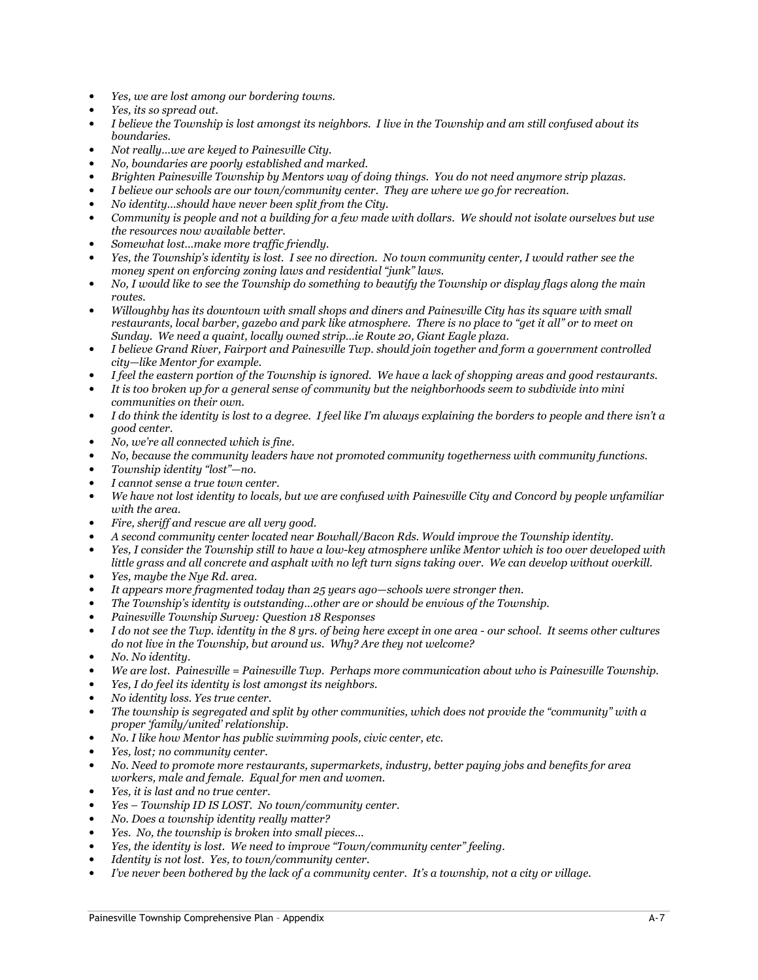- Yes, we are lost among our bordering towns.
- Yes, its so spread out.
- I believe the Township is lost amongst its neighbors. I live in the Township and am still confused about its boundaries.
- Not really…we are keyed to Painesville City.
- No, boundaries are poorly established and marked.
- Brighten Painesville Township by Mentors way of doing things. You do not need anymore strip plazas.
- I believe our schools are our town/community center. They are where we go for recreation.
- No identity…should have never been split from the City.
- Community is people and not a building for a few made with dollars. We should not isolate ourselves but use the resources now available better.
- Somewhat lost…make more traffic friendly.
- Yes, the Township's identity is lost. I see no direction. No town community center, I would rather see the money spent on enforcing zoning laws and residential "junk" laws.
- No, I would like to see the Township do something to beautify the Township or display flags along the main routes.
- Willoughby has its downtown with small shops and diners and Painesville City has its square with small restaurants, local barber, gazebo and park like atmosphere. There is no place to "get it all" or to meet on Sunday. We need a quaint, locally owned strip…ie Route 20, Giant Eagle plaza.
- I believe Grand River, Fairport and Painesville Twp. should join together and form a government controlled city—like Mentor for example.
- I feel the eastern portion of the Township is ignored. We have a lack of shopping areas and good restaurants.
- It is too broken up for a general sense of community but the neighborhoods seem to subdivide into mini communities on their own.
- I do think the identity is lost to a degree. I feel like I'm always explaining the borders to people and there isn't a good center.
- No, we're all connected which is fine.
- No, because the community leaders have not promoted community togetherness with community functions.
- Township identity "lost"—no.
- I cannot sense a true town center.
- We have not lost identity to locals, but we are confused with Painesville City and Concord by people unfamiliar with the area.
- Fire, sheriff and rescue are all very good.
- A second community center located near Bowhall/Bacon Rds. Would improve the Township identity.
- Yes, I consider the Township still to have a low-key atmosphere unlike Mentor which is too over developed with little grass and all concrete and asphalt with no left turn signs taking over. We can develop without overkill.
- Yes, maybe the Nye Rd. area.
- It appears more fragmented today than 25 years ago—schools were stronger then.
- The Township's identity is outstanding…other are or should be envious of the Township.
- Painesville Township Survey: Question 18 Responses
- I do not see the Twp. identity in the 8 yrs. of being here except in one area our school. It seems other cultures do not live in the Township, but around us. Why? Are they not welcome?
- No. No identity.
- We are lost. Painesville = Painesville Twp. Perhaps more communication about who is Painesville Township.
- Yes, I do feel its identity is lost amongst its neighbors.
- No identity loss. Yes true center.
- The township is segregated and split by other communities, which does not provide the "community" with a proper 'family/united' relationship.
- No. I like how Mentor has public swimming pools, civic center, etc.
- Yes, lost; no community center.
- No. Need to promote more restaurants, supermarkets, industry, better paying jobs and benefits for area workers, male and female. Equal for men and women.
- Yes, it is last and no true center.
- Yes Township ID IS LOST. No town/community center.
- No. Does a township identity really matter?
- Yes. No, the township is broken into small pieces…
- Yes, the identity is lost. We need to improve "Town/community center" feeling.
- Identity is not lost. Yes, to town/community center.
- I've never been bothered by the lack of a community center. It's a township, not a city or village.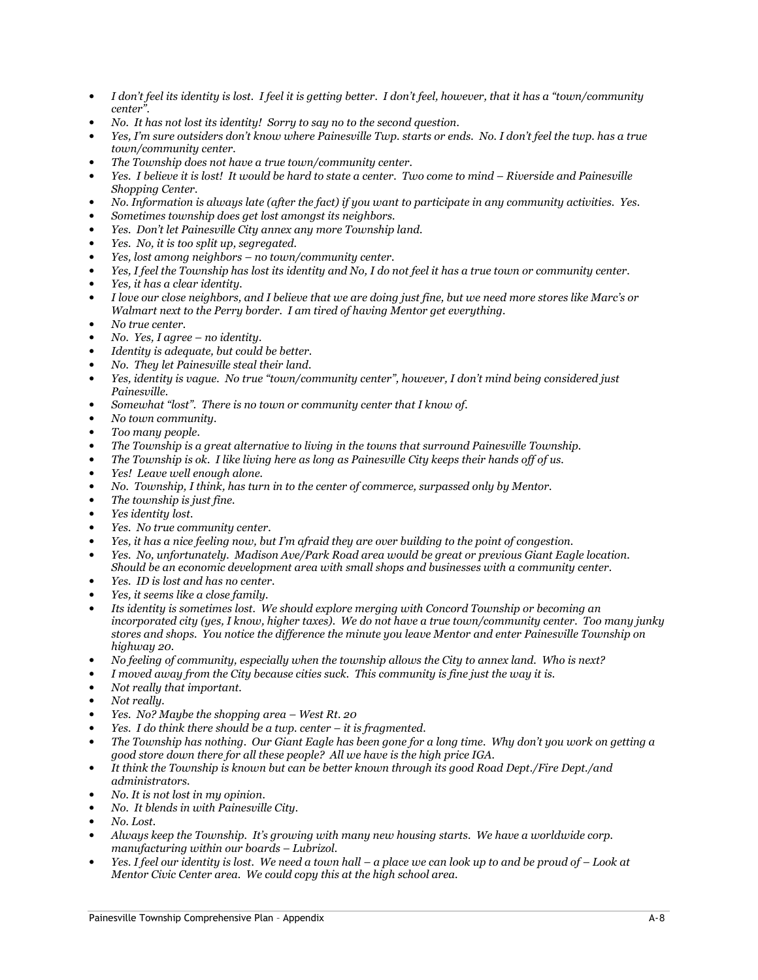- I don't feel its identity is lost. I feel it is getting better. I don't feel, however, that it has a "town/community center".
- No. It has not lost its identity! Sorry to say no to the second question.
- Yes, I'm sure outsiders don't know where Painesville Twp. starts or ends. No. I don't feel the twp. has a true town/community center.
- The Township does not have a true town/community center.
- Yes. I believe it is lost! It would be hard to state a center. Two come to mind Riverside and Painesville Shopping Center.
- No. Information is always late (after the fact) if you want to participate in any community activities. Yes.
- Sometimes township does get lost amongst its neighbors.
- Yes. Don't let Painesville City annex any more Township land.
- Yes. No, it is too split up, segregated.
- Yes, lost among neighbors no town/community center.
- Yes, I feel the Township has lost its identity and No, I do not feel it has a true town or community center.
- Yes, it has a clear identity.
- I love our close neighbors, and I believe that we are doing just fine, but we need more stores like Marc's or Walmart next to the Perry border. I am tired of having Mentor get everything.
- No true center.
- No. Yes, I agree no identity.
- Identity is adequate, but could be better.
- No. They let Painesville steal their land.
- Yes, identity is vague. No true "town/community center", however, I don't mind being considered just Painesville.
- Somewhat "lost". There is no town or community center that I know of.
- No town community.
- Too many people.
- The Township is a great alternative to living in the towns that surround Painesville Township.
- The Township is ok. I like living here as long as Painesville City keeps their hands off of us.
- Yes! Leave well enough alone.
- No. Township, I think, has turn in to the center of commerce, surpassed only by Mentor.
- The township is just fine.
- Yes identity lost.
- Yes. No true community center.
- Yes, it has a nice feeling now, but I'm afraid they are over building to the point of congestion.
- Yes. No, unfortunately. Madison Ave/Park Road area would be great or previous Giant Eagle location. Should be an economic development area with small shops and businesses with a community center.
- Yes. ID is lost and has no center.
- Yes, it seems like a close family.
- Its identity is sometimes lost. We should explore merging with Concord Township or becoming an incorporated city (yes, I know, higher taxes). We do not have a true town/community center. Too many junky stores and shops. You notice the difference the minute you leave Mentor and enter Painesville Township on highway 20.
- No feeling of community, especially when the township allows the City to annex land. Who is next?
- I moved away from the City because cities suck. This community is fine just the way it is.
- Not really that important.
- Not really.
- Yes. No? Maybe the shopping area West Rt. 20
- $Yes.$  I do think there should be a twp. center  $-$  it is fragmented.
- The Township has nothing. Our Giant Eagle has been gone for a long time. Why don't you work on getting a good store down there for all these people? All we have is the high price IGA.
- It think the Township is known but can be better known through its good Road Dept./Fire Dept./and administrators.
- No. It is not lost in my opinion.
- No. It blends in with Painesville City.
- No. Lost.
- Always keep the Township. It's growing with many new housing starts. We have a worldwide corp. manufacturing within our boards – Lubrizol.
- Yes. I feel our identity is lost. We need a town hall a place we can look up to and be proud of Look at Mentor Civic Center area. We could copy this at the high school area.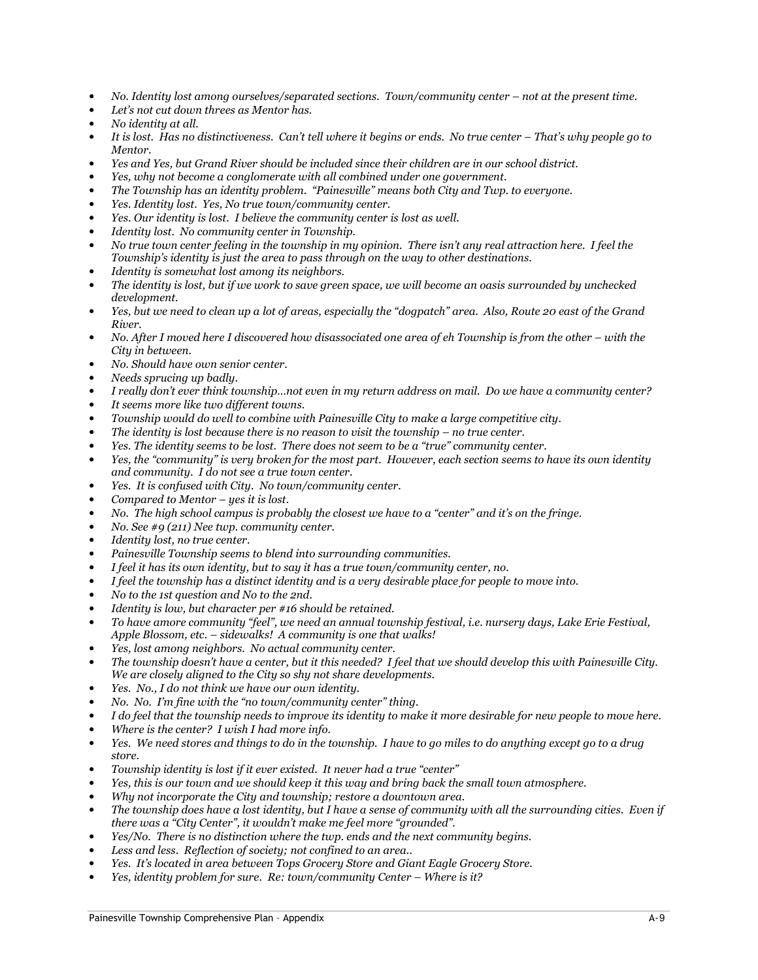- No. Identity lost among ourselves/separated sections. Town/community center not at the present time.
- Let's not cut down threes as Mentor has.
- No identity at all.
- It is lost. Has no distinctiveness. Can't tell where it begins or ends. No true center That's why people go to Mentor.
- Yes and Yes, but Grand River should be included since their children are in our school district.
- Yes, why not become a conglomerate with all combined under one government.
- The Township has an identity problem. "Painesville" means both City and Twp. to everyone.
- Yes. Identity lost. Yes, No true town/community center.
- Yes. Our identity is lost. I believe the community center is lost as well.
- Identity lost. No community center in Township.
- No true town center feeling in the township in my opinion. There isn't any real attraction here. I feel the Township's identity is just the area to pass through on the way to other destinations.
- Identity is somewhat lost among its neighbors.
- The identity is lost, but if we work to save green space, we will become an oasis surrounded by unchecked development.
- Yes, but we need to clean up a lot of areas, especially the "dogpatch" area. Also, Route 20 east of the Grand River.
- No. After I moved here I discovered how disassociated one area of eh Township is from the other with the City in between.
- No. Should have own senior center.
- Needs sprucing up badly.
- I really don't ever think township…not even in my return address on mail. Do we have a community center?
- It seems more like two different towns.
- Township would do well to combine with Painesville City to make a large competitive city.
- The identity is lost because there is no reason to visit the township  $-$  no true center.
- Yes. The identity seems to be lost. There does not seem to be a "true" community center.
- Yes, the "community" is very broken for the most part. However, each section seems to have its own identity and community. I do not see a true town center.
- Yes. It is confused with City. No town/community center.
- Compared to Mentor  $-$  yes it is lost.
- No. The high school campus is probably the closest we have to a "center" and it's on the fringe.
- No. See #9 (211) Nee twp. community center.
- Identity lost, no true center.
- Painesville Township seems to blend into surrounding communities.
- I feel it has its own identity, but to say it has a true town/community center, no.
- I feel the township has a distinct identity and is a very desirable place for people to move into.
- No to the 1st question and No to the 2nd.
- Identity is low, but character per #16 should be retained.
- To have amore community "feel", we need an annual township festival, i.e. nursery days, Lake Erie Festival, Apple Blossom, etc. – sidewalks! A community is one that walks!
- Yes, lost among neighbors. No actual community center.
- The township doesn't have a center, but it this needed? I feel that we should develop this with Painesville City. We are closely aligned to the City so shy not share developments.
- Yes. No., I do not think we have our own identity.
- No. No. I'm fine with the "no town/community center" thing.
- I do feel that the township needs to improve its identity to make it more desirable for new people to move here.
- Where is the center? I wish I had more info.
- Yes. We need stores and things to do in the township. I have to go miles to do anything except go to a drug store.
- Township identity is lost if it ever existed. It never had a true "center"
- Yes, this is our town and we should keep it this way and bring back the small town atmosphere.
- Why not incorporate the City and township; restore a downtown area.
- The township does have a lost identity, but I have a sense of community with all the surrounding cities. Even if there was a "City Center", it wouldn't make me feel more "grounded".
- Yes/No. There is no distinction where the twp. ends and the next community begins.
- Less and less. Reflection of society; not confined to an area..
- Yes. It's located in area between Tops Grocery Store and Giant Eagle Grocery Store.
- Yes, identity problem for sure. Re: town/community Center Where is it?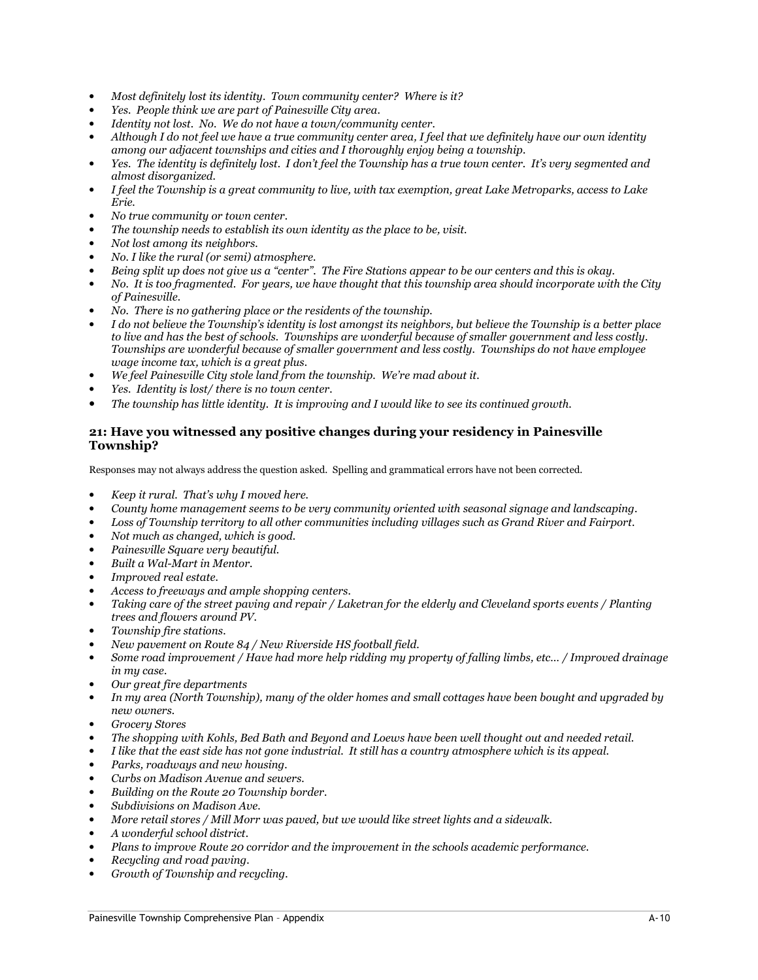- Most definitely lost its identity. Town community center? Where is it?
- Yes. People think we are part of Painesville City area.
- Identity not lost. No. We do not have a town/community center.
- Although I do not feel we have a true community center area, I feel that we definitely have our own identity among our adjacent townships and cities and I thoroughly enjoy being a township.
- Yes. The identity is definitely lost. I don't feel the Township has a true town center. It's very segmented and almost disorganized.
- I feel the Township is a great community to live, with tax exemption, great Lake Metroparks, access to Lake Erie.
- No true community or town center.
- The township needs to establish its own identity as the place to be, visit.
- Not lost among its neighbors.
- No. I like the rural (or semi) atmosphere.
- Being split up does not give us a "center". The Fire Stations appear to be our centers and this is okay.
- No. It is too fragmented. For years, we have thought that this township area should incorporate with the City of Painesville.
- No. There is no gathering place or the residents of the township.
- I do not believe the Township's identity is lost amongst its neighbors, but believe the Township is a better place to live and has the best of schools. Townships are wonderful because of smaller government and less costly. Townships are wonderful because of smaller government and less costly. Townships do not have employee wage income tax, which is a great plus.
- We feel Painesville City stole land from the township. We're mad about it.
- Yes. Identity is lost/there is no town center.
- The township has little identity. It is improving and I would like to see its continued growth.

#### 21: Have you witnessed any positive changes during your residency in Painesville Township?

- Keep it rural. That's why  $I$  moved here.
- County home management seems to be very community oriented with seasonal signage and landscaping.
- Loss of Township territory to all other communities including villages such as Grand River and Fairport.
- Not much as changed, which is good.
- Painesville Square very beautiful.
- Built a Wal-Mart in Mentor.
- Improved real estate.
- Access to freeways and ample shopping centers.
- Taking care of the street paving and repair / Laketran for the elderly and Cleveland sports events / Planting trees and flowers around PV.
- Township fire stations.
- New pavement on Route 84 / New Riverside HS football field.
- Some road improvement / Have had more help ridding my property of falling limbs, etc… / Improved drainage in my case.
- Our great fire departments
- In my area (North Township), many of the older homes and small cottages have been bought and upgraded by new owners.
- Grocery Stores
- The shopping with Kohls, Bed Bath and Beyond and Loews have been well thought out and needed retail.
- I like that the east side has not gone industrial. It still has a country atmosphere which is its appeal.
- Parks, roadways and new housing.
- Curbs on Madison Avenue and sewers.
- Building on the Route 20 Township border.
- Subdivisions on Madison Ave.
- More retail stores / Mill Morr was paved, but we would like street lights and a sidewalk.
- A wonderful school district.
- Plans to improve Route 20 corridor and the improvement in the schools academic performance.
- Recycling and road paving.
- Growth of Township and recycling.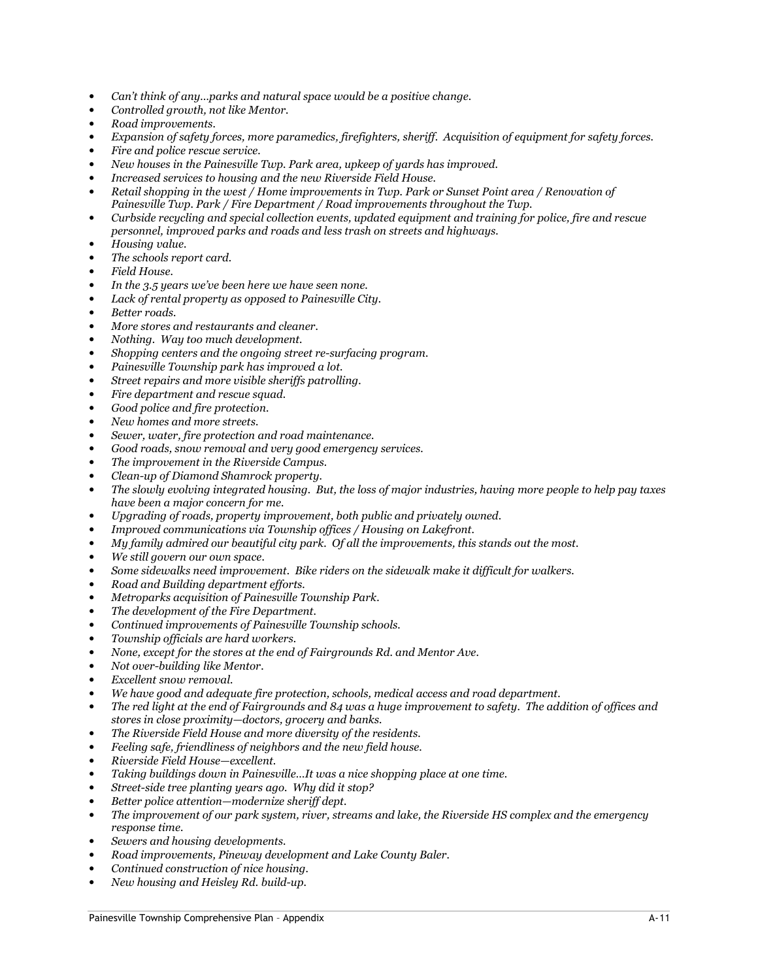- Can't think of any…parks and natural space would be a positive change.
- Controlled growth, not like Mentor.
- Road improvements.
- Expansion of safety forces, more paramedics, firefighters, sheriff. Acquisition of equipment for safety forces.
- Fire and police rescue service.
- New houses in the Painesville Twp. Park area, upkeep of yards has improved.
- Increased services to housing and the new Riverside Field House.
- Retail shopping in the west / Home improvements in Twp. Park or Sunset Point area / Renovation of Painesville Twp. Park / Fire Department / Road improvements throughout the Twp.
- Curbside recycling and special collection events, updated equipment and training for police, fire and rescue personnel, improved parks and roads and less trash on streets and highways.
- Housing value.
- The schools report card.
- Field House.
- In the 3.5 years we've been here we have seen none.
- Lack of rental property as opposed to Painesville City.
- Better roads.
- More stores and restaurants and cleaner.
- Nothing. Way too much development.
- Shopping centers and the ongoing street re-surfacing program.
- Painesville Township park has improved a lot.
- Street repairs and more visible sheriffs patrolling.
- Fire department and rescue squad.
- Good police and fire protection.
- New homes and more streets.
- Sewer, water, fire protection and road maintenance.
- Good roads, snow removal and very good emergency services.
- The improvement in the Riverside Campus.
- Clean-up of Diamond Shamrock property.
- The slowly evolving integrated housing. But, the loss of major industries, having more people to help pay taxes have been a major concern for me.
- Upgrading of roads, property improvement, both public and privately owned.
- Improved communications via Township offices / Housing on Lakefront.
- My family admired our beautiful city park. Of all the improvements, this stands out the most.
- We still govern our own space.
- Some sidewalks need improvement. Bike riders on the sidewalk make it difficult for walkers.
- Road and Building department efforts.
- Metroparks acquisition of Painesville Township Park.
- The development of the Fire Department.
- Continued improvements of Painesville Township schools.
- Township officials are hard workers.
- None, except for the stores at the end of Fairgrounds Rd. and Mentor Ave.
- Not over-building like Mentor.
- Excellent snow removal.
- We have good and adequate fire protection, schools, medical access and road department.
- The red light at the end of Fairgrounds and 84 was a huge improvement to safety. The addition of offices and stores in close proximity—doctors, grocery and banks.
- The Riverside Field House and more diversity of the residents.
- Feeling safe, friendliness of neighbors and the new field house.
- Riverside Field House—excellent.
- Taking buildings down in Painesville…It was a nice shopping place at one time.
- Street-side tree planting years ago. Why did it stop?
- Better police attention—modernize sheriff dept.
- The improvement of our park system, river, streams and lake, the Riverside HS complex and the emergency response time.
- Sewers and housing developments.
- Road improvements, Pineway development and Lake County Baler.
- Continued construction of nice housing.
- New housing and Heisley Rd. build-up.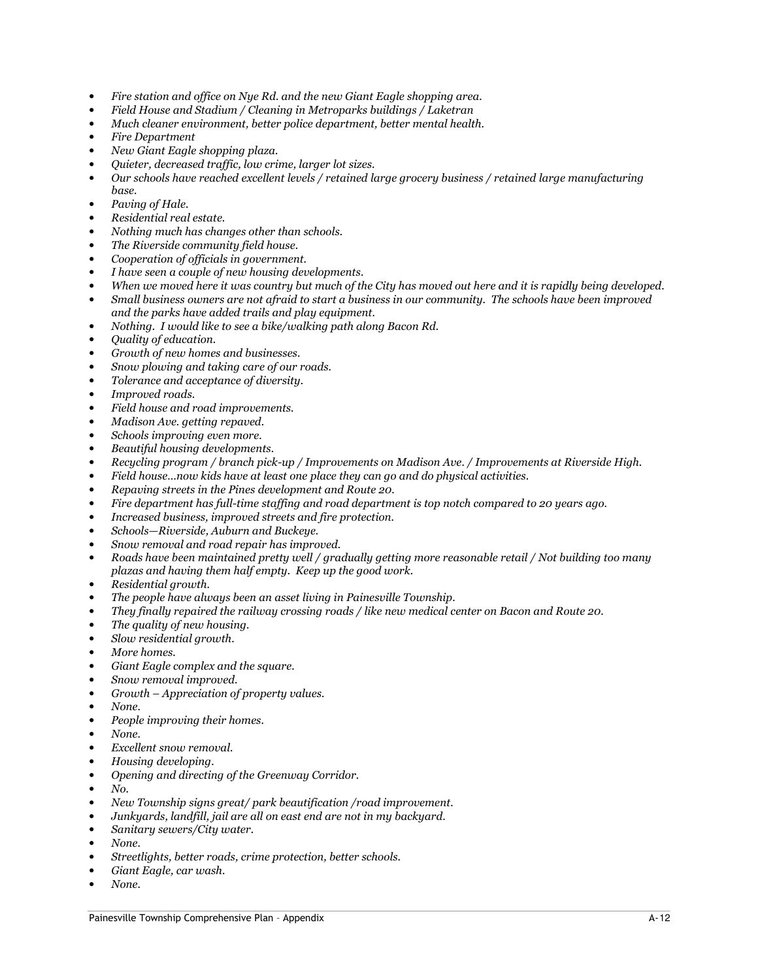- Fire station and office on Nye Rd. and the new Giant Eagle shopping area.
- Field House and Stadium / Cleaning in Metroparks buildings / Laketran
- Much cleaner environment, better police department, better mental health.
- Fire Department
- New Giant Eagle shopping plaza.
- Quieter, decreased traffic, low crime, larger lot sizes.
- Our schools have reached excellent levels / retained large grocery business / retained large manufacturing base.
- Paving of Hale.
- Residential real estate.
- Nothing much has changes other than schools.
- The Riverside community field house.
- Cooperation of officials in government.
- I have seen a couple of new housing developments.
- When we moved here it was country but much of the City has moved out here and it is rapidly being developed.
- Small business owners are not afraid to start a business in our community. The schools have been improved and the parks have added trails and play equipment.
- Nothing. I would like to see a bike/walking path along Bacon Rd.
- Quality of education.
- Growth of new homes and businesses.
- Snow plowing and taking care of our roads.
- Tolerance and acceptance of diversity.
- Improved roads.
- Field house and road improvements.
- Madison Ave. getting repaved.
- Schools improving even more.
- Beautiful housing developments.
- Recycling program / branch pick-up / Improvements on Madison Ave. / Improvements at Riverside High.
- Field house…now kids have at least one place they can go and do physical activities.
- Repaving streets in the Pines development and Route 20.
- Fire department has full-time staffing and road department is top notch compared to 20 years ago.
- Increased business, improved streets and fire protection.
- Schools—Riverside, Auburn and Buckeye.
- Snow removal and road repair has improved.
- Roads have been maintained pretty well / gradually getting more reasonable retail / Not building too many plazas and having them half empty. Keep up the good work.
- Residential growth.
- The people have always been an asset living in Painesville Township.
- They finally repaired the railway crossing roads / like new medical center on Bacon and Route 20.
- The quality of new housing.
- Slow residential growth.
- More homes.
- Giant Eagle complex and the square.
- Snow removal improved.
- Growth Appreciation of property values.
- None.
- People improving their homes.
- None.
- Excellent snow removal.
- Housing developing.
- Opening and directing of the Greenway Corridor.
- No.
- New Township signs great/ park beautification /road improvement.
- Junkyards, landfill, jail are all on east end are not in my backyard.
- Sanitary sewers/City water.
- None.
- Streetlights, better roads, crime protection, better schools.
- Giant Eagle, car wash.
- None.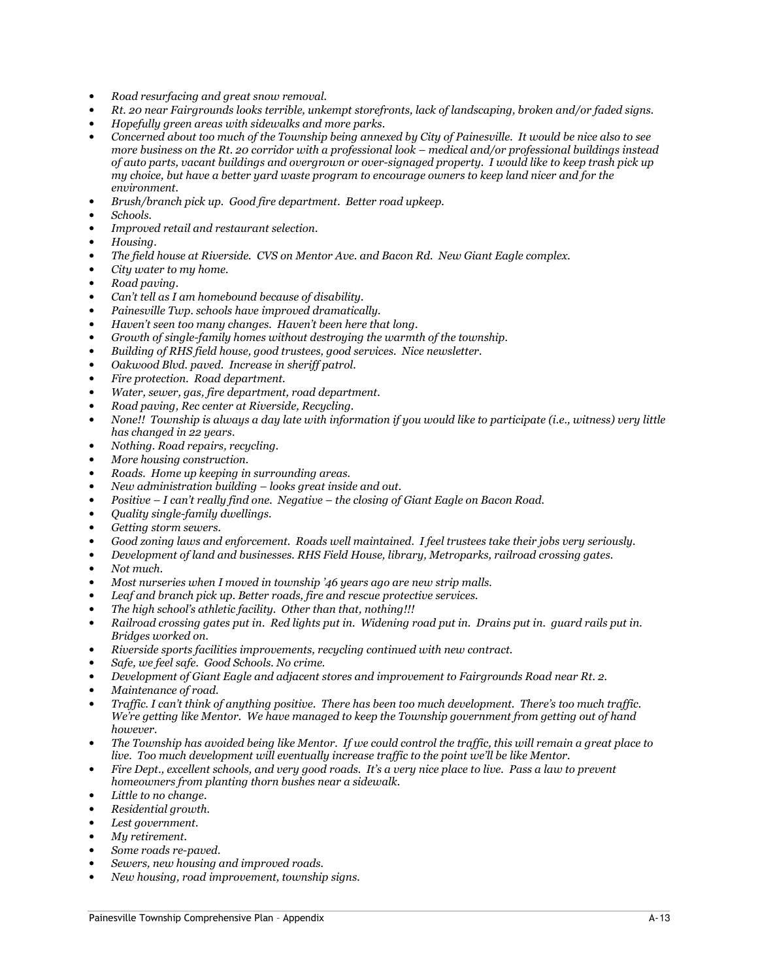- Road resurfacing and great snow removal.
- Rt. 20 near Fairgrounds looks terrible, unkempt storefronts, lack of landscaping, broken and/or faded signs.
- Hopefully green areas with sidewalks and more parks.
- Concerned about too much of the Township being annexed by City of Painesville. It would be nice also to see more business on the Rt. 20 corridor with a professional look – medical and/or professional buildings instead of auto parts, vacant buildings and overgrown or over-signaged property. I would like to keep trash pick up my choice, but have a better yard waste program to encourage owners to keep land nicer and for the environment.
- Brush/branch pick up. Good fire department. Better road upkeep.
- Schools.
- Improved retail and restaurant selection.
- Housing.
- The field house at Riverside. CVS on Mentor Ave. and Bacon Rd. New Giant Eagle complex.
- City water to my home.
- Road paving.
- Can't tell as I am homebound because of disability.
- Painesville Twp. schools have improved dramatically.
- Haven't seen too many changes. Haven't been here that long.
- Growth of single-family homes without destroying the warmth of the township.
- Building of RHS field house, good trustees, good services. Nice newsletter.
- Oakwood Blvd. paved. Increase in sheriff patrol.
- Fire protection. Road department.
- Water, sewer, gas, fire department, road department.
- Road paving, Rec center at Riverside, Recycling.
- None!! Township is always a day late with information if you would like to participate (i.e., witness) very little has changed in 22 years.
- Nothing. Road repairs, recycling.
- More housing construction.
- Roads. Home up keeping in surrounding areas.
- New administration building looks great inside and out.
- Positive I can't really find one. Negative the closing of Giant Eagle on Bacon Road.
- Quality single-family dwellings.
- Getting storm sewers.
- Good zoning laws and enforcement. Roads well maintained. I feel trustees take their jobs very seriously.
- Development of land and businesses. RHS Field House, library, Metroparks, railroad crossing gates.
- Not much.
- Most nurseries when I moved in township '46 years ago are new strip malls.
- Leaf and branch pick up. Better roads, fire and rescue protective services.
- The high school's athletic facility. Other than that, nothing!!!
- Railroad crossing gates put in. Red lights put in. Widening road put in. Drains put in. guard rails put in. Bridges worked on.
- Riverside sports facilities improvements, recycling continued with new contract.
- Safe, we feel safe. Good Schools. No crime.
- Development of Giant Eagle and adjacent stores and improvement to Fairgrounds Road near Rt. 2.
- Maintenance of road.
- Traffic. I can't think of anything positive. There has been too much development. There's too much traffic. We're getting like Mentor. We have managed to keep the Township government from getting out of hand however.
- The Township has avoided being like Mentor. If we could control the traffic, this will remain a great place to live. Too much development will eventually increase traffic to the point we'll be like Mentor.
- Fire Dept., excellent schools, and very good roads. It's a very nice place to live. Pass a law to prevent homeowners from planting thorn bushes near a sidewalk.
- Little to no change.
- Residential growth.
- Lest government.
- Mu retirement.
- Some roads re-paved.
- Sewers, new housing and improved roads.
- New housing, road improvement, township signs.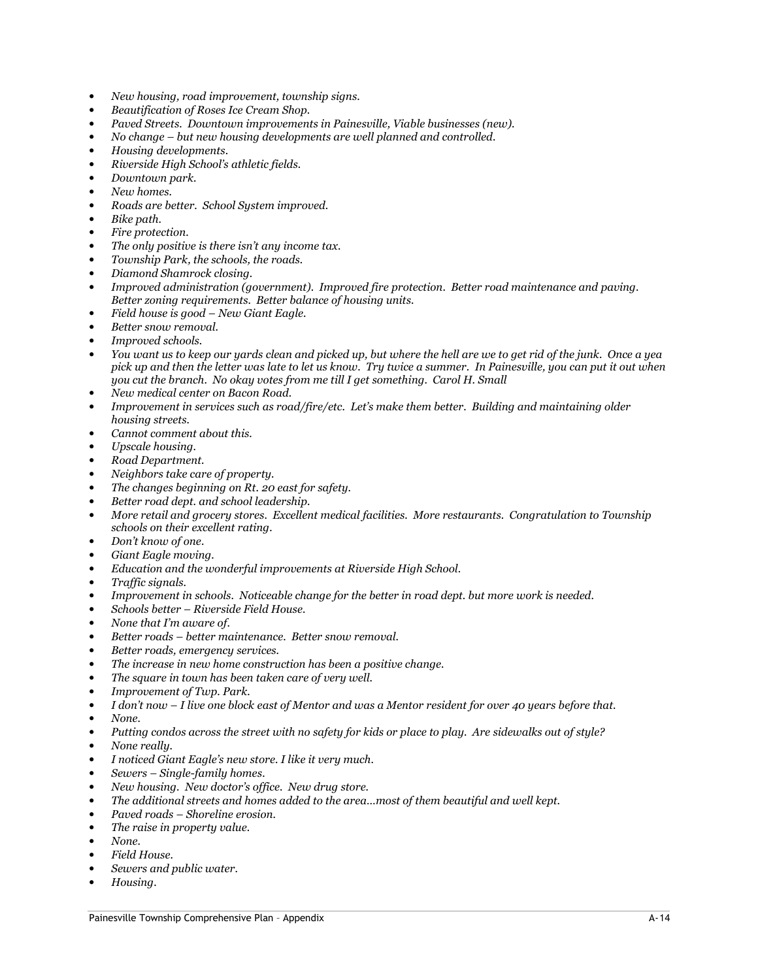- New housing, road improvement, township signs.
- Beautification of Roses Ice Cream Shop.
- Paved Streets. Downtown improvements in Painesville, Viable businesses (new).
- No change but new housing developments are well planned and controlled.
- Housing developments.
- Riverside High School's athletic fields.
- Downtown park.
- New homes.
- Roads are better. School System improved.
- Bike path.
- Fire protection.
- The only positive is there isn't any income tax.
- Township Park, the schools, the roads.
- Diamond Shamrock closing.
- Improved administration (government). Improved fire protection. Better road maintenance and paving. Better zoning requirements. Better balance of housing units.
- Field house is good New Giant Eagle.
- Better snow removal.
- Improved schools.
- You want us to keep our yards clean and picked up, but where the hell are we to get rid of the junk. Once a yea pick up and then the letter was late to let us know. Try twice a summer. In Painesville, you can put it out when you cut the branch. No okay votes from me till I get something. Carol H. Small
- New medical center on Bacon Road.
- Improvement in services such as road/fire/etc. Let's make them better. Building and maintaining older housing streets.
- Cannot comment about this.
- Upscale housing.
- Road Department.
- Neighbors take care of property.
- The changes beginning on Rt. 20 east for safety.
- Better road dept. and school leadership.
- More retail and grocery stores. Excellent medical facilities. More restaurants. Congratulation to Township schools on their excellent rating.
- Don't know of one.
- Giant Eagle moving.
- Education and the wonderful improvements at Riverside High School.
- Traffic signals.
- Improvement in schools. Noticeable change for the better in road dept. but more work is needed.
- Schools better Riverside Field House.
- None that I'm aware of.
- Better roads better maintenance. Better snow removal.
- Better roads, emergency services.
- The increase in new home construction has been a positive change.
- The square in town has been taken care of very well.
- Improvement of Twp. Park.
- I don't now I live one block east of Mentor and was a Mentor resident for over 40 years before that.
- None.
- Putting condos across the street with no safety for kids or place to play. Are sidewalks out of style?
- None really.
- I noticed Giant Eagle's new store. I like it very much.
- Sewers Single-family homes.
- New housing. New doctor's office. New drug store.
- The additional streets and homes added to the area…most of them beautiful and well kept.
- Paved roads Shoreline erosion.
- The raise in property value.
- None.
- Field House.
- Sewers and public water.
- Housing.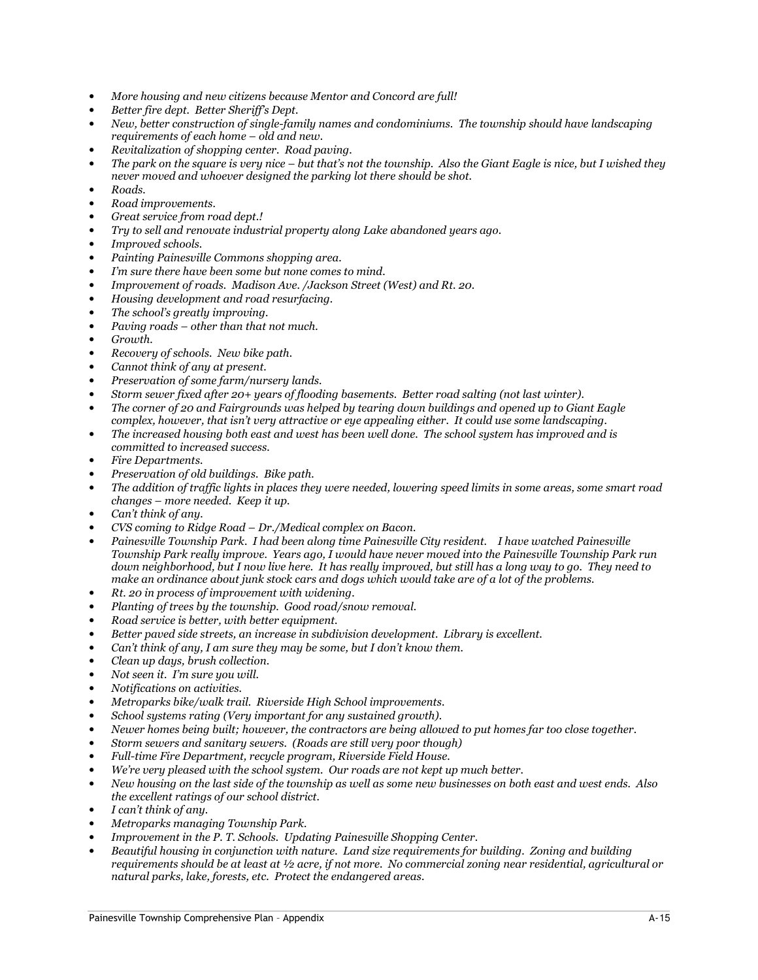- More housing and new citizens because Mentor and Concord are full!
- Better fire dept. Better Sheriff's Dept.
- New, better construction of single-family names and condominiums. The township should have landscaping requirements of each home – old and new.
- Revitalization of shopping center. Road paving.
- The park on the square is very nice but that's not the township. Also the Giant Eagle is nice, but I wished they never moved and whoever designed the parking lot there should be shot.
- Roads.
- Road improvements.
- Great service from road dept.!
- Try to sell and renovate industrial property along Lake abandoned years ago.
- Improved schools.
- Painting Painesville Commons shopping area.
- I'm sure there have been some but none comes to mind.
- Improvement of roads. Madison Ave. /Jackson Street (West) and Rt. 20.
- Housing development and road resurfacing.
- The school's greatly improving.
- Paving roads other than that not much.
- Growth.
- Recovery of schools. New bike path.
- Cannot think of any at present.
- Preservation of some farm/nursery lands.
- Storm sewer fixed after 20+ years of flooding basements. Better road salting (not last winter).
- The corner of 20 and Fairgrounds was helped by tearing down buildings and opened up to Giant Eagle complex, however, that isn't very attractive or eye appealing either. It could use some landscaping.
- The increased housing both east and west has been well done. The school system has improved and is committed to increased success.
- Fire Departments.
- Preservation of old buildings. Bike path.
- The addition of traffic lights in places they were needed, lowering speed limits in some areas, some smart road changes – more needed. Keep it up.
- Can't think of any.
- CVS coming to Ridge Road Dr./Medical complex on Bacon.
- Painesville Township Park. I had been along time Painesville City resident. I have watched Painesville Township Park really improve. Years ago, I would have never moved into the Painesville Township Park run down neighborhood, but I now live here. It has really improved, but still has a long way to go. They need to make an ordinance about junk stock cars and dogs which would take are of a lot of the problems.
- Rt. 20 in process of improvement with widening.
- Planting of trees by the township. Good road/snow removal.
- Road service is better, with better equipment.
- Better paved side streets, an increase in subdivision development. Library is excellent.
- Can't think of any, I am sure they may be some, but I don't know them.
- Clean up days, brush collection.
- Not seen it. I'm sure you will.
- Notifications on activities.
- Metroparks bike/walk trail. Riverside High School improvements.
- School systems rating (Very important for any sustained growth).
- Newer homes being built; however, the contractors are being allowed to put homes far too close together.
- Storm sewers and sanitary sewers. (Roads are still very poor though)
- Full-time Fire Department, recycle program, Riverside Field House.
- We're very pleased with the school system. Our roads are not kept up much better.
- New housing on the last side of the township as well as some new businesses on both east and west ends. Also the excellent ratings of our school district.
- I can't think of any.
- Metroparks managing Township Park.
- Improvement in the P. T. Schools. Updating Painesville Shopping Center.
- Beautiful housing in conjunction with nature. Land size requirements for building. Zoning and building requirements should be at least at ½ acre, if not more. No commercial zoning near residential, agricultural or natural parks, lake, forests, etc. Protect the endangered areas.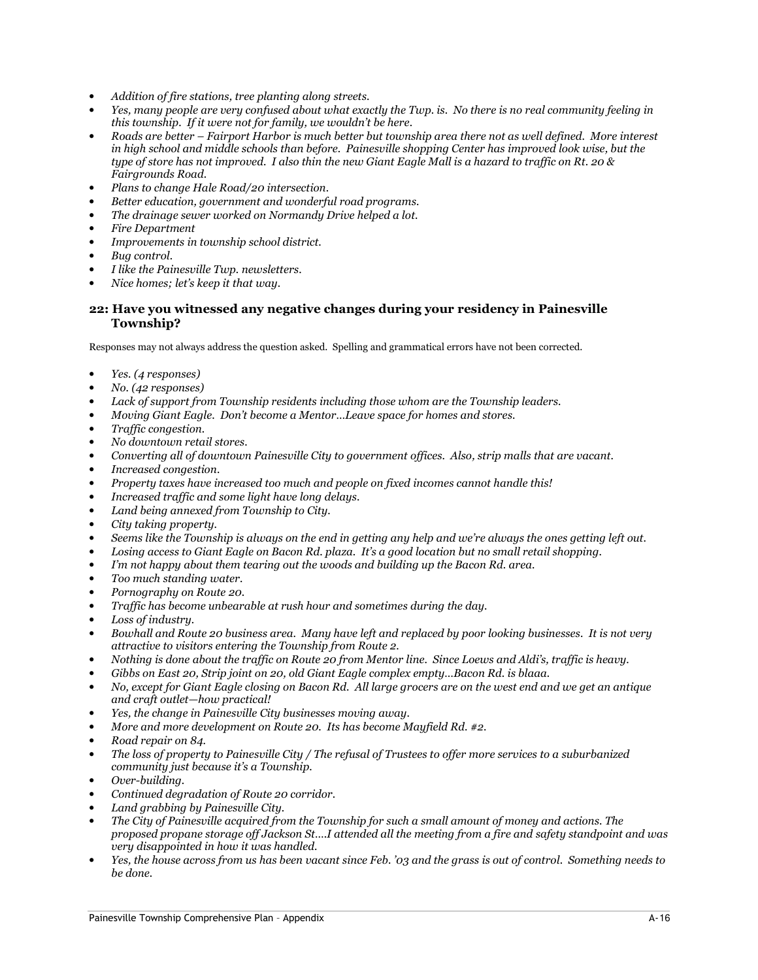- Addition of fire stations, tree planting along streets.
- Yes, many people are very confused about what exactly the Twp. is. No there is no real community feeling in this township. If it were not for family, we wouldn't be here.
- Roads are better Fairport Harbor is much better but township area there not as well defined. More interest in high school and middle schools than before. Painesville shopping Center has improved look wise, but the type of store has not improved. I also thin the new Giant Eagle Mall is a hazard to traffic on Rt. 20 & Fairgrounds Road.
- Plans to change Hale Road/20 intersection.
- Better education, government and wonderful road programs.
- The drainage sewer worked on Normandy Drive helped a lot.
- Fire Department
- Improvements in township school district.
- Bug control.
- I like the Painesville Twp. newsletters.
- Nice homes; let's keep it that way.

#### 22: Have you witnessed any negative changes during your residency in Painesville Township?

- Yes. (4 responses)
- No. (42 responses)
- Lack of support from Township residents including those whom are the Township leaders.
- Moving Giant Eagle. Don't become a Mentor…Leave space for homes and stores.
- Traffic congestion.
- No downtown retail stores.
- Converting all of downtown Painesville City to government offices. Also, strip malls that are vacant.
- Increased congestion.
- Property taxes have increased too much and people on fixed incomes cannot handle this!
- Increased traffic and some light have long delays.
- Land being annexed from Township to City.
- City taking property.
- Seems like the Township is always on the end in getting any help and we're always the ones getting left out.
- Losing access to Giant Eagle on Bacon Rd. plaza. It's a good location but no small retail shopping.
- I'm not happy about them tearing out the woods and building up the Bacon Rd. area.
- Too much standing water.
- Pornography on Route 20.
- Traffic has become unbearable at rush hour and sometimes during the day.
- Loss of industry.
- Bowhall and Route 20 business area. Many have left and replaced by poor looking businesses. It is not very attractive to visitors entering the Township from Route 2.
- Nothing is done about the traffic on Route 20 from Mentor line. Since Loews and Aldi's, traffic is heavy.
- Gibbs on East 20, Strip joint on 20, old Giant Eagle complex empty…Bacon Rd. is blaaa.
- No, except for Giant Eagle closing on Bacon Rd. All large grocers are on the west end and we get an antique and craft outlet—how practical!
- Yes, the change in Painesville City businesses moving away.
- More and more development on Route 20. Its has become Mayfield Rd. #2.
- Road repair on 84.
- The loss of property to Painesville City / The refusal of Trustees to offer more services to a suburbanized community just because it's a Township.
- Over-building.
- Continued degradation of Route 20 corridor.
- Land grabbing by Painesville City.
- The City of Painesville acquired from the Township for such a small amount of money and actions. The proposed propane storage off Jackson St….I attended all the meeting from a fire and safety standpoint and was very disappointed in how it was handled.
- Yes, the house across from us has been vacant since Feb. '03 and the grass is out of control. Something needs to be done.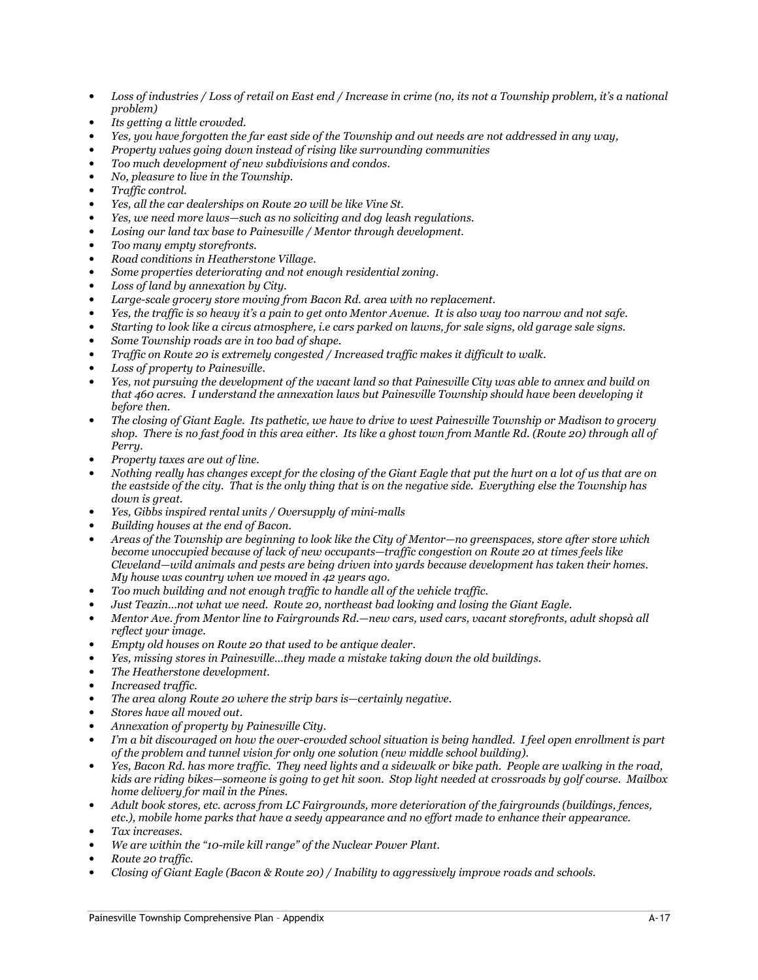- Loss of industries / Loss of retail on East end / Increase in crime (no, its not a Township problem, it's a national problem)
- Its getting a little crowded.
- Yes, you have forgotten the far east side of the Township and out needs are not addressed in any way,
- Property values going down instead of rising like surrounding communities
- Too much development of new subdivisions and condos.
- No, pleasure to live in the Township.
- Traffic control.
- Yes, all the car dealerships on Route 20 will be like Vine St.
- Yes, we need more laws—such as no soliciting and dog leash regulations.
- Losing our land tax base to Painesville / Mentor through development.
- Too many empty storefronts.
- Road conditions in Heatherstone Village.
- Some properties deteriorating and not enough residential zoning.
- Loss of land by annexation by City.
- Large-scale grocery store moving from Bacon Rd. area with no replacement.
- Yes, the traffic is so heavy it's a pain to get onto Mentor Avenue. It is also way too narrow and not safe.
- Starting to look like a circus atmosphere, i.e cars parked on lawns, for sale signs, old garage sale signs.
- Some Township roads are in too bad of shape.
- Traffic on Route 20 is extremely congested / Increased traffic makes it difficult to walk.
- Loss of property to Painesville.
- Yes, not pursuing the development of the vacant land so that Painesville City was able to annex and build on that 460 acres. I understand the annexation laws but Painesville Township should have been developing it before then.
- The closing of Giant Eagle. Its pathetic, we have to drive to west Painesville Township or Madison to grocery shop. There is no fast food in this area either. Its like a ghost town from Mantle Rd. (Route 20) through all of Perry.
- Property taxes are out of line.
- Nothing really has changes except for the closing of the Giant Eagle that put the hurt on a lot of us that are on the eastside of the city. That is the only thing that is on the negative side. Everything else the Township has down is great.
- Yes, Gibbs inspired rental units / Oversupply of mini-malls
- Building houses at the end of Bacon.
- Areas of the Township are beginning to look like the City of Mentor—no greenspaces, store after store which become unoccupied because of lack of new occupants—traffic congestion on Route 20 at times feels like Cleveland—wild animals and pests are being driven into yards because development has taken their homes. My house was country when we moved in  $42$  years ago.
- Too much building and not enough traffic to handle all of the vehicle traffic.
- Just Teazin…not what we need. Route 20, northeast bad looking and losing the Giant Eagle.
- Mentor Ave. from Mentor line to Fairgrounds Rd.—new cars, used cars, vacant storefronts, adult shopsà all reflect your image.
- Empty old houses on Route 20 that used to be antique dealer.
- Yes, missing stores in Painesville…they made a mistake taking down the old buildings.
- The Heatherstone development.
- Increased traffic.
- The area along Route 20 where the strip bars is—certainly negative.
- Stores have all moved out.
- Annexation of property by Painesville City.
- I'm a bit discouraged on how the over-crowded school situation is being handled. I feel open enrollment is part of the problem and tunnel vision for only one solution (new middle school building).
- Yes, Bacon Rd. has more traffic. They need lights and a sidewalk or bike path. People are walking in the road, kids are riding bikes—someone is going to get hit soon. Stop light needed at crossroads by golf course. Mailbox home delivery for mail in the Pines.
- Adult book stores, etc. across from LC Fairgrounds, more deterioration of the fairgrounds (buildings, fences, etc.), mobile home parks that have a seedy appearance and no effort made to enhance their appearance.
- Tax increases.
- We are within the "10-mile kill range" of the Nuclear Power Plant.
- Route 20 traffic.
- Closing of Giant Eagle (Bacon & Route 20) / Inability to aggressively improve roads and schools.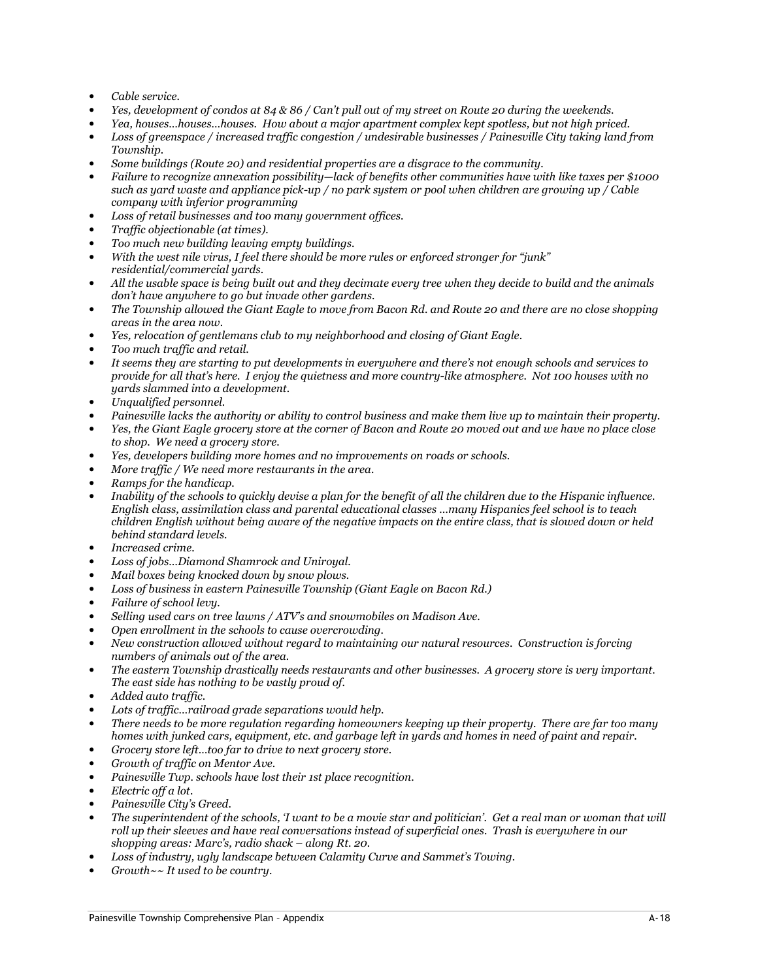- Cable service.
- Yes, development of condos at 84 & 86 / Can't pull out of my street on Route 20 during the weekends.
- Yea, houses…houses…houses. How about a major apartment complex kept spotless, but not high priced.
- Loss of greenspace / increased traffic congestion / undesirable businesses / Painesville City taking land from Township.
- Some buildings (Route 20) and residential properties are a disgrace to the community.
- Failure to recognize annexation possibility—lack of benefits other communities have with like taxes per \$1000 such as yard waste and appliance pick-up / no park system or pool when children are growing up  $\bar{}/$  Cable company with inferior programming
- Loss of retail businesses and too many government offices.
- Traffic objectionable (at times).
- Too much new building leaving empty buildings.
- With the west nile virus, I feel there should be more rules or enforced stronger for "junk" residential/commercial yards.
- All the usable space is being built out and they decimate every tree when they decide to build and the animals don't have anywhere to go but invade other gardens.
- The Township allowed the Giant Eagle to move from Bacon Rd. and Route 20 and there are no close shopping areas in the area now.
- Yes, relocation of gentlemans club to my neighborhood and closing of Giant Eagle.
- Too much traffic and retail.
- It seems they are starting to put developments in everywhere and there's not enough schools and services to provide for all that's here. I enjoy the quietness and more country-like atmosphere. Not 100 houses with no yards slammed into a development.
- Unqualified personnel.
- Painesville lacks the authority or ability to control business and make them live up to maintain their property.
- Yes, the Giant Eagle grocery store at the corner of Bacon and Route 20 moved out and we have no place close to shop. We need a grocery store.
- Yes, developers building more homes and no improvements on roads or schools.
- More traffic / We need more restaurants in the area.
- Ramps for the handicap.
- Inability of the schools to quickly devise a plan for the benefit of all the children due to the Hispanic influence. English class, assimilation class and parental educational classes …many Hispanics feel school is to teach children English without being aware of the negative impacts on the entire class, that is slowed down or held behind standard levels.
- Increased crime.
- Loss of jobs…Diamond Shamrock and Uniroyal.
- Mail boxes being knocked down by snow plows.
- Loss of business in eastern Painesville Township (Giant Eagle on Bacon Rd.)
- Failure of school levy.
- Selling used cars on tree lawns / ATV's and snowmobiles on Madison Ave.
- Open enrollment in the schools to cause overcrowding.
- New construction allowed without regard to maintaining our natural resources. Construction is forcing numbers of animals out of the area.
- The eastern Township drastically needs restaurants and other businesses. A grocery store is very important. The east side has nothing to be vastly proud of.
- Added auto traffic.
- Lots of traffic...railroad grade separations would help.
- There needs to be more regulation regarding homeowners keeping up their property. There are far too many homes with junked cars, equipment, etc. and garbage left in yards and homes in need of paint and repair.
- Grocery store left…too far to drive to next grocery store.
- Growth of traffic on Mentor Ave.
- Painesville Twp. schools have lost their 1st place recognition.
- Electric off a lot.
- Painesville City's Greed.
- The superintendent of the schools, 'I want to be a movie star and politician'. Get a real man or woman that will roll up their sleeves and have real conversations instead of superficial ones. Trash is everywhere in our shopping areas: Marc's, radio shack – along Rt. 20.
- Loss of industry, ugly landscape between Calamity Curve and Sammet's Towing.
- Growth~~ It used to be country.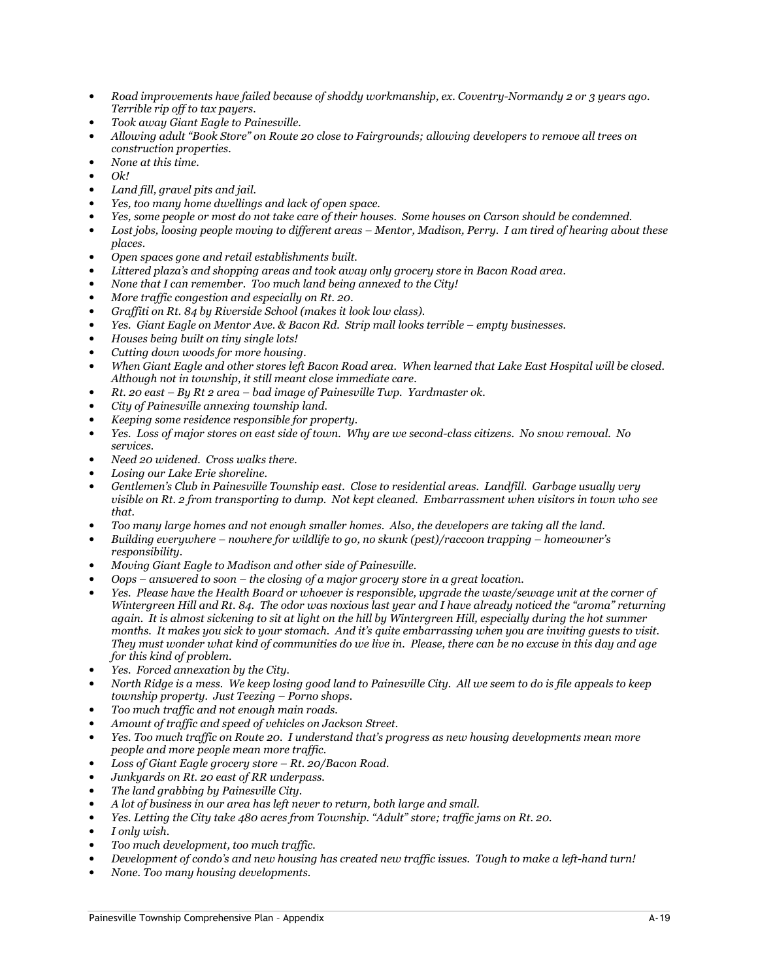- Road improvements have failed because of shoddy workmanship, ex. Coventry-Normandy 2 or 3 years ago. Terrible rip off to tax payers.
- Took away Giant Eagle to Painesville.
- Allowing adult "Book Store" on Route 20 close to Fairgrounds; allowing developers to remove all trees on construction properties.
- None at this time.
- $Ok!$
- Land fill, gravel pits and jail.
- Yes, too many home dwellings and lack of open space.
- Yes, some people or most do not take care of their houses. Some houses on Carson should be condemned.
- Lost jobs, loosing people moving to different areas Mentor, Madison, Perry. I am tired of hearing about these places.
- Open spaces gone and retail establishments built.
- Littered plaza's and shopping areas and took away only grocery store in Bacon Road area.
- None that I can remember. Too much land being annexed to the City!
- More traffic congestion and especially on Rt. 20.
- Graffiti on Rt. 84 by Riverside School (makes it look low class).
- Yes. Giant Eagle on Mentor Ave. & Bacon Rd. Strip mall looks terrible empty businesses.
- Houses being built on tiny single lots!
- Cutting down woods for more housing.
- When Giant Eagle and other stores left Bacon Road area. When learned that Lake East Hospital will be closed. Although not in township, it still meant close immediate care.
- $Rt.$  20 east By  $Rt$  2 area bad image of Painesville Twp. Yardmaster ok.
- City of Painesville annexing township land.
- Keeping some residence responsible for property.
- Yes. Loss of major stores on east side of town. Why are we second-class citizens. No snow removal. No services.
- Need 20 widened. Cross walks there.
- Losing our Lake Erie shoreline.
- Gentlemen's Club in Painesville Township east. Close to residential areas. Landfill. Garbage usually very visible on Rt. 2 from transporting to dump. Not kept cleaned. Embarrassment when visitors in town who see that.
- Too many large homes and not enough smaller homes. Also, the developers are taking all the land.
- Building everywhere nowhere for wildlife to go, no skunk (pest)/raccoon trapping homeowner's responsibility.
- Moving Giant Eagle to Madison and other side of Painesville.
- $\cos$  answered to soon the closing of a major grocery store in a great location.
- Yes. Please have the Health Board or whoever is responsible, upgrade the waste/sewage unit at the corner of Wintergreen Hill and Rt. 84. The odor was noxious last year and I have already noticed the "aroma" returning again. It is almost sickening to sit at light on the hill by Wintergreen Hill, especially during the hot summer months. It makes you sick to your stomach. And it's quite embarrassing when you are inviting guests to visit. They must wonder what kind of communities do we live in. Please, there can be no excuse in this day and age for this kind of problem.
- Yes. Forced annexation by the City.
- North Ridge is a mess. We keep losing good land to Painesville City. All we seem to do is file appeals to keep township property. Just Teezing – Porno shops.
- Too much traffic and not enough main roads.
- Amount of traffic and speed of vehicles on Jackson Street.
- Yes. Too much traffic on Route 20. I understand that's progress as new housing developments mean more people and more people mean more traffic.
- Loss of Giant Eagle grocery store Rt. 20/Bacon Road.
- Junkyards on Rt. 20 east of RR underpass.
- The land grabbing by Painesville City.
- A lot of business in our area has left never to return, both large and small.
- Yes. Letting the City take 480 acres from Township. "Adult" store; traffic jams on Rt. 20.
- I only wish.
- Too much development, too much traffic.
- Development of condo's and new housing has created new traffic issues. Tough to make a left-hand turn!
- None. Too many housing developments.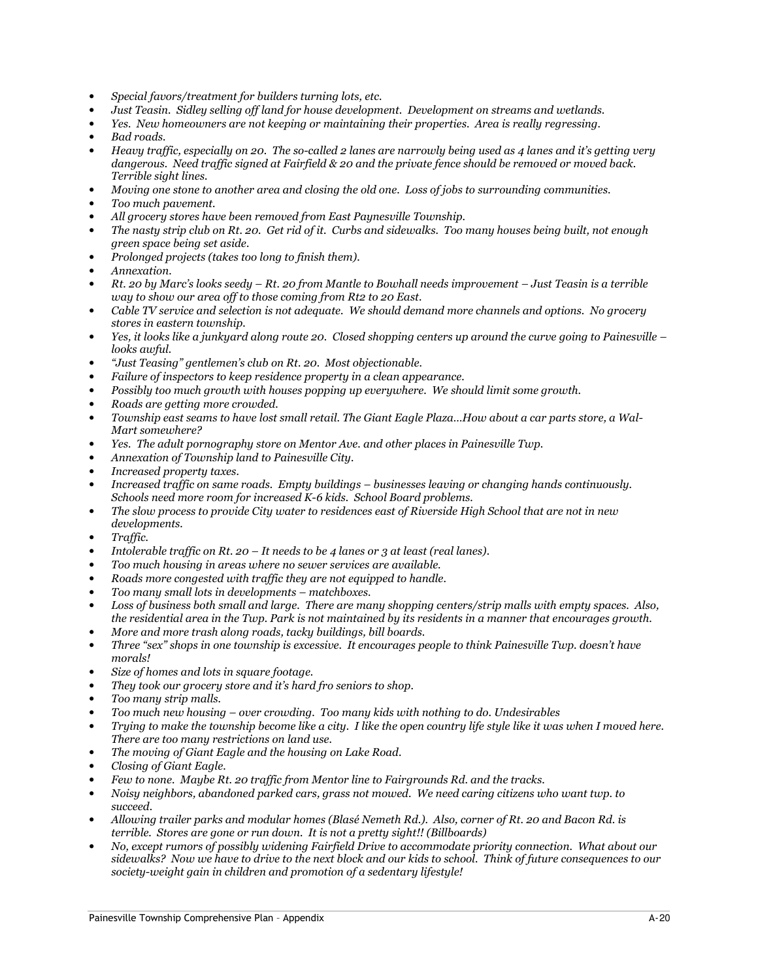- Special favors/treatment for builders turning lots, etc.
- Just Teasin. Sidley selling off land for house development. Development on streams and wetlands.
- Yes. New homeowners are not keeping or maintaining their properties. Area is really regressing.
- Bad roads.
- Heavy traffic, especially on 20. The so-called 2 lanes are narrowly being used as 4 lanes and it's getting very dangerous. Need traffic signed at Fairfield & 20 and the private fence should be removed or moved back. Terrible sight lines.
- Moving one stone to another area and closing the old one. Loss of jobs to surrounding communities.
- Too much pavement.
- All grocery stores have been removed from East Paynesville Township.
- The nasty strip club on Rt. 20. Get rid of it. Curbs and sidewalks. Too many houses being built, not enough green space being set aside.
- Prolonged projects (takes too long to finish them).
- Annexation.
- Rt. 20 by Marc's looks seedy Rt. 20 from Mantle to Bowhall needs improvement Just Teasin is a terrible way to show our area off to those coming from Rt2 to 20 East.
- Cable TV service and selection is not adequate. We should demand more channels and options. No grocery stores in eastern township.
- Yes, it looks like a junkyard along route 20. Closed shopping centers up around the curve going to Painesville looks awful.
- "Just Teasing" gentlemen's club on Rt. 20. Most objectionable.
- Failure of inspectors to keep residence property in a clean appearance.
- Possibly too much growth with houses popping up everywhere. We should limit some growth.
- Roads are getting more crowded.
- Township east seams to have lost small retail. The Giant Eagle Plaza…How about a car parts store, a Wal-Mart somewhere?
- Yes. The adult pornography store on Mentor Ave. and other places in Painesville Twp.
- Annexation of Township land to Painesville City.
- Increased property taxes.
- Increased traffic on same roads. Empty buildings businesses leaving or changing hands continuously. Schools need more room for increased K-6 kids. School Board problems.
- The slow process to provide City water to residences east of Riverside High School that are not in new developments.
- Traffic.
- Intolerable traffic on Rt. 20 It needs to be 4 lanes or 3 at least (real lanes).
- Too much housing in areas where no sewer services are available.
- Roads more congested with traffic they are not equipped to handle.
- Too many small lots in developments matchboxes.
- Loss of business both small and large. There are many shopping centers/strip malls with empty spaces. Also, the residential area in the Twp. Park is not maintained by its residents in a manner that encourages growth.
- More and more trash along roads, tacky buildings, bill boards.
- Three "sex" shops in one township is excessive. It encourages people to think Painesville Twp. doesn't have morals!
- Size of homes and lots in square footage.
- They took our grocery store and it's hard fro seniors to shop.
- Too many strip malls.
- Too much new housing over crowding. Too many kids with nothing to do. Undesirables
- Trying to make the township become like a city. I like the open country life style like it was when I moved here. There are too many restrictions on land use.
- The moving of Giant Eagle and the housing on Lake Road.
- Closing of Giant Eagle.
- Few to none. Maybe Rt. 20 traffic from Mentor line to Fairgrounds Rd. and the tracks.
- Noisy neighbors, abandoned parked cars, grass not mowed. We need caring citizens who want twp. to succeed.
- Allowing trailer parks and modular homes (Blasé Nemeth Rd.). Also, corner of Rt. 20 and Bacon Rd. is terrible. Stores are gone or run down. It is not a pretty sight!! (Billboards)
- No, except rumors of possibly widening Fairfield Drive to accommodate priority connection. What about our sidewalks? Now we have to drive to the next block and our kids to school. Think of future consequences to our society-weight gain in children and promotion of a sedentary lifestyle!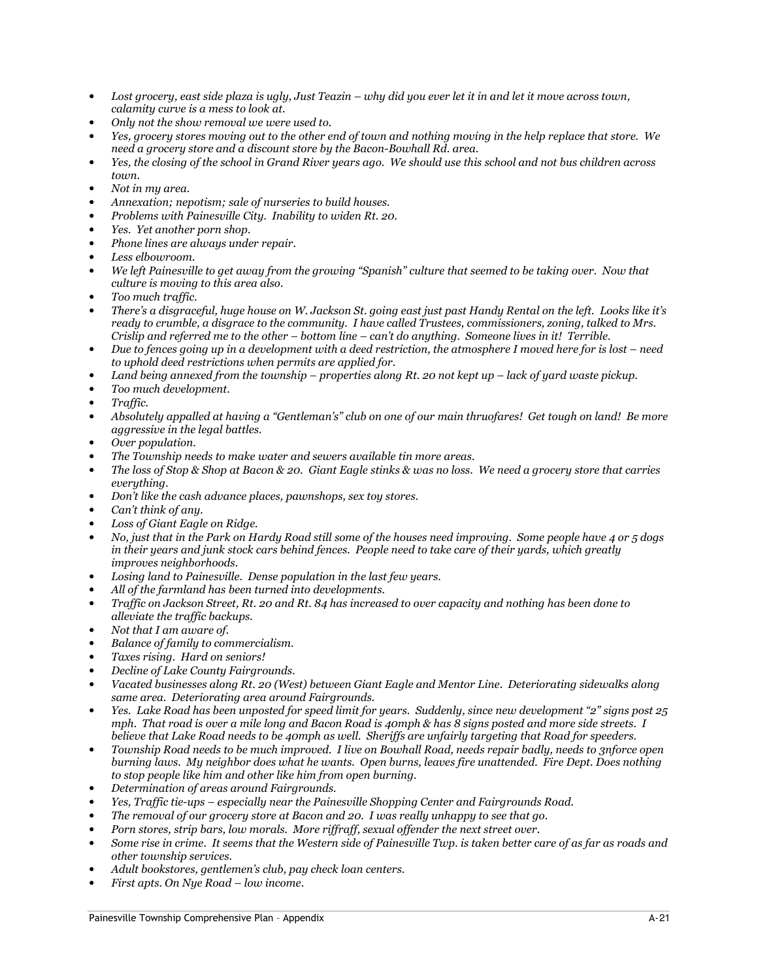- Lost grocery, east side plaza is ugly, Just Teazin why did you ever let it in and let it move across town, calamity curve is a mess to look at.
- Only not the show removal we were used to.
- Yes, grocery stores moving out to the other end of town and nothing moving in the help replace that store. We need a grocery store and a discount store by the Bacon-Bowhall Rd. area.
- Yes, the closing of the school in Grand River years ago. We should use this school and not bus children across toum.
- Not in my area.
- Annexation; nepotism; sale of nurseries to build houses.
- Problems with Painesville City. Inability to widen Rt. 20.
- Yes. Yet another porn shop.
- Phone lines are always under repair.
- Less elbowroom.
- We left Painesville to get away from the growing "Spanish" culture that seemed to be taking over. Now that culture is moving to this area also.
- Too much traffic.
- There's a disgraceful, huge house on W. Jackson St. going east just past Handy Rental on the left. Looks like it's ready to crumble, a disgrace to the community. I have called Trustees, commissioners, zoning, talked to Mrs. Crislip and referred me to the other – bottom line – can't do anything. Someone lives in it! Terrible.
- Due to fences going up in a development with a deed restriction, the atmosphere I moved here for is lost need to uphold deed restrictions when permits are applied for.
- Land being annexed from the township properties along Rt. 20 not kept up lack of yard waste pickup.
- Too much development.
- Traffic.
- Absolutely appalled at having a "Gentleman's" club on one of our main thruofares! Get tough on land! Be more aggressive in the legal battles.
- Over population.
- The Township needs to make water and sewers available tin more areas.
- The loss of Stop & Shop at Bacon & 20. Giant Eagle stinks & was no loss. We need a grocery store that carries everything.
- Don't like the cash advance places, pawnshops, sex toy stores.
- Can't think of anu.
- Loss of Giant Eagle on Ridge.
- No, just that in the Park on Hardy Road still some of the houses need improving. Some people have 4 or 5 dogs in their years and junk stock cars behind fences. People need to take care of their yards, which greatly improves neighborhoods.
- Losing land to Painesville. Dense population in the last few years.
- All of the farmland has been turned into developments.
- Traffic on Jackson Street, Rt. 20 and Rt. 84 has increased to over capacity and nothing has been done to alleviate the traffic backups.
- Not that I am aware of.
- Balance of family to commercialism.
- Taxes rising. Hard on seniors!
- Decline of Lake County Fairgrounds.
- Vacated businesses along Rt. 20 (West) between Giant Eagle and Mentor Line. Deteriorating sidewalks along same area. Deteriorating area around Fairgrounds.
- Yes. Lake Road has been unposted for speed limit for years. Suddenly, since new development "2" signs post 25 mph. That road is over a mile long and Bacon Road is 40mph & has 8 signs posted and more side streets. I believe that Lake Road needs to be 40mph as well. Sheriffs are unfairly targeting that Road for speeders.
- Township Road needs to be much improved. I live on Bowhall Road, needs repair badly, needs to 3nforce open burning laws. My neighbor does what he wants. Open burns, leaves fire unattended. Fire Dept. Does nothing to stop people like him and other like him from open burning.
- Determination of areas around Fairgrounds.
- Yes, Traffic tie-ups especially near the Painesville Shopping Center and Fairgrounds Road.
- The removal of our grocery store at Bacon and 20. I was really unhappy to see that go.
- Porn stores, strip bars, low morals. More riffraff, sexual offender the next street over.
- Some rise in crime. It seems that the Western side of Painesville Twp. is taken better care of as far as roads and other township services.
- Adult bookstores, gentlemen's club, pay check loan centers.
- First apts. On Nye Road low income.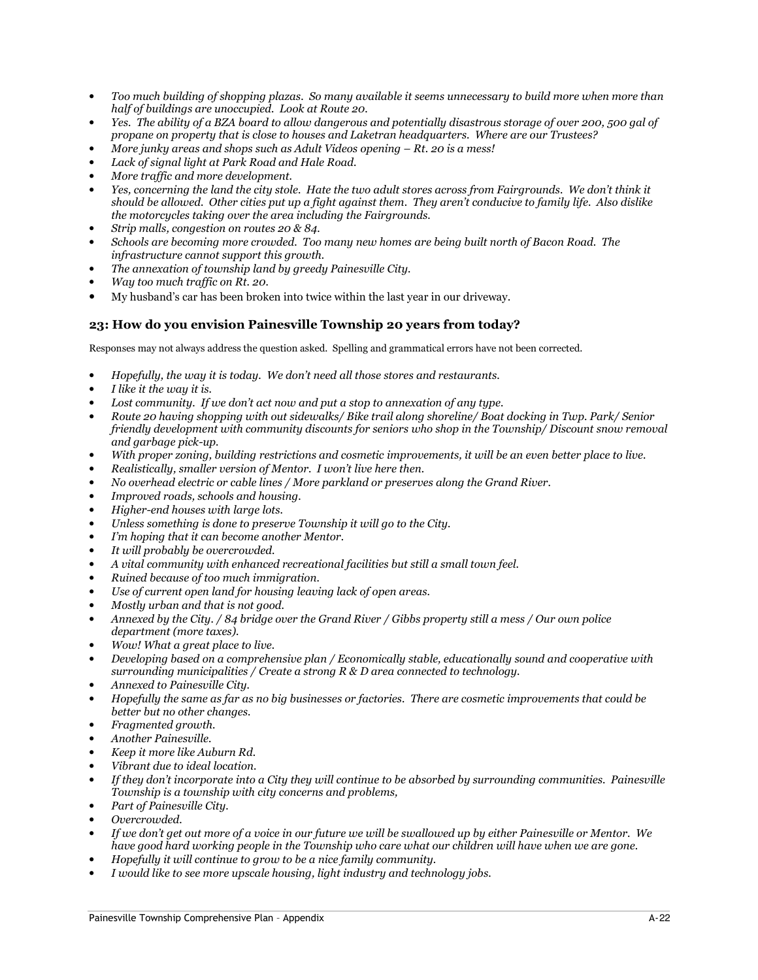- Too much building of shopping plazas. So many available it seems unnecessary to build more when more than half of buildings are unoccupied. Look at Route 20.
- Yes. The ability of a BZA board to allow dangerous and potentially disastrous storage of over 200, 500 gal of propane on property that is close to houses and Laketran headquarters. Where are our Trustees?
- More junky areas and shops such as Adult Videos opening  $Rt$ . 20 is a mess!
- Lack of signal light at Park Road and Hale Road.
- More traffic and more development.
- Yes, concerning the land the city stole. Hate the two adult stores across from Fairgrounds. We don't think it should be allowed. Other cities put up a fight against them. They aren't conducive to family life. Also dislike the motorcycles taking over the area including the Fairgrounds.
- Strip malls, congestion on routes 20 & 84.
- Schools are becoming more crowded. Too many new homes are being built north of Bacon Road. The infrastructure cannot support this growth.
- The annexation of township land by greedy Painesville City.
- Way too much traffic on Rt. 20.
- My husband's car has been broken into twice within the last year in our driveway.

# 23: How do you envision Painesville Township 20 years from today?

- Hopefully, the way it is today. We don't need all those stores and restaurants.
- I like it the way it is.
- Lost community. If we don't act now and put a stop to annexation of any type.
- Route 20 having shopping with out sidewalks/ Bike trail along shoreline/ Boat docking in Twp. Park/ Senior friendly development with community discounts for seniors who shop in the Township/ Discount snow removal and garbage pick-up.
- With proper zoning, building restrictions and cosmetic improvements, it will be an even better place to live.
- Realistically, smaller version of Mentor. I won't live here then.
- No overhead electric or cable lines / More parkland or preserves along the Grand River.
- Improved roads, schools and housing.
- Higher-end houses with large lots.
- Unless something is done to preserve Township it will go to the City.
- I'm hoping that it can become another Mentor.
- It will probably be overcrowded.
- A vital community with enhanced recreational facilities but still a small town feel.
- Ruined because of too much immigration.
- Use of current open land for housing leaving lack of open areas.
- Mostly urban and that is not good.
- Annexed by the City. / 84 bridge over the Grand River / Gibbs property still a mess / Our own police department (more taxes).
- Wow! What a great place to live.
- Developing based on a comprehensive plan / Economically stable, educationally sound and cooperative with surrounding municipalities / Create a strong  $R \& D$  area connected to technology.
- Annexed to Painesville City.
- Hopefully the same as far as no big businesses or factories. There are cosmetic improvements that could be better but no other changes.
- Fragmented growth.
- Another Painesville.
- Keep it more like Auburn Rd.
- Vibrant due to ideal location.
- If they don't incorporate into a City they will continue to be absorbed by surrounding communities. Painesville Township is a township with city concerns and problems,
- Part of Painesville City.
- Overcrowded.
- If we don't get out more of a voice in our future we will be swallowed up by either Painesville or Mentor. We have good hard working people in the Township who care what our children will have when we are gone.
- Hopefully it will continue to grow to be a nice family community.
- I would like to see more upscale housing, light industry and technology jobs.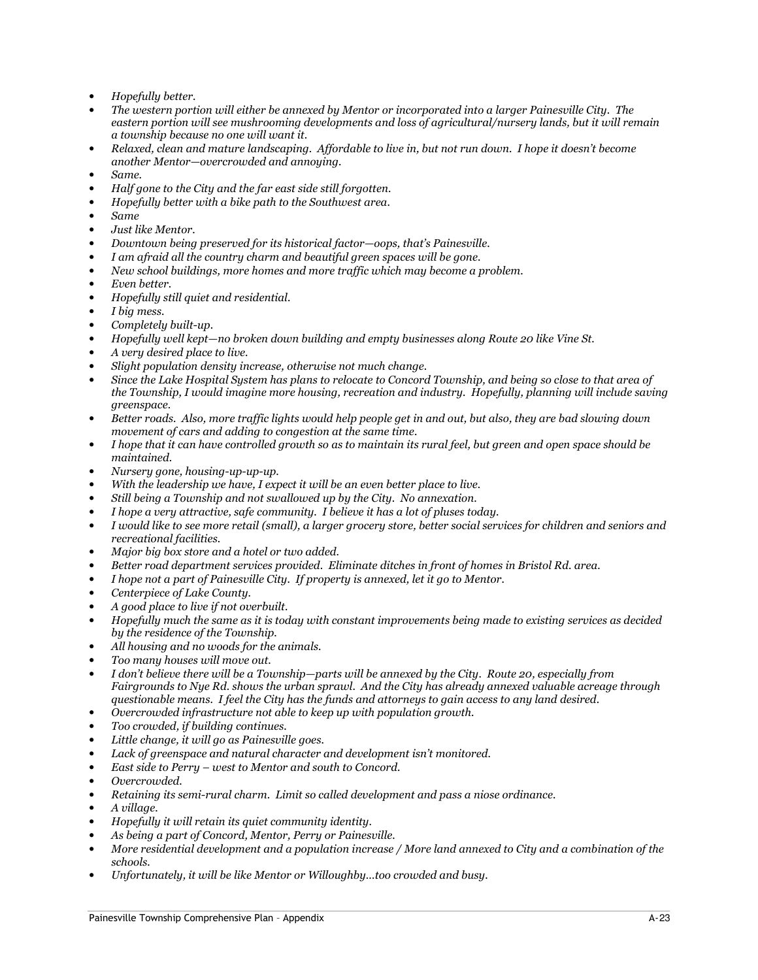- Hopefully better.
- The western portion will either be annexed by Mentor or incorporated into a larger Painesville City. The eastern portion will see mushrooming developments and loss of agricultural/nursery lands, but it will remain a township because no one will want it.
- Relaxed, clean and mature landscaping. Affordable to live in, but not run down. I hope it doesn't become another Mentor—overcrowded and annoying.
- Same.
- Half gone to the City and the far east side still forgotten.
- Hopefully better with a bike path to the Southwest area.
- Same
- Just like Mentor.
- Downtown being preserved for its historical factor—oops, that's Painesville.
- I am afraid all the country charm and beautiful green spaces will be gone.
- New school buildings, more homes and more traffic which may become a problem.
- Even better.
- Hopefully still quiet and residential.
- I big mess.
- Completely built-up.
- Hopefully well kept—no broken down building and empty businesses along Route 20 like Vine St.
- A very desired place to live.
- Slight population density increase, otherwise not much change.
- Since the Lake Hospital System has plans to relocate to Concord Township, and being so close to that area of the Township, I would imagine more housing, recreation and industry. Hopefully, planning will include saving greenspace.
- Better roads. Also, more traffic lights would help people get in and out, but also, they are bad slowing down movement of cars and adding to congestion at the same time.
- I hope that it can have controlled growth so as to maintain its rural feel, but green and open space should be maintained.
- Nursery gone, housing-up-up-up.
- With the leadership we have, I expect it will be an even better place to live.
- Still being a Township and not swallowed up by the City. No annexation.
- I hope a very attractive, safe community. I believe it has a lot of pluses today.
- I would like to see more retail (small), a larger grocery store, better social services for children and seniors and recreational facilities.
- Major big box store and a hotel or two added.
- Better road department services provided. Eliminate ditches in front of homes in Bristol Rd. area.
- I hope not a part of Painesville City. If property is annexed, let it go to Mentor.
- Centerpiece of Lake County.
- A good place to live if not overbuilt.
- Hopefully much the same as it is today with constant improvements being made to existing services as decided by the residence of the Township.
- All housing and no woods for the animals.
- Too many houses will move out.
- I don't believe there will be a Township—parts will be annexed by the City. Route 20, especially from Fairgrounds to Nye Rd. shows the urban sprawl. And the City has already annexed valuable acreage through questionable means. I feel the City has the funds and attorneys to gain access to any land desired.
- Overcrowded infrastructure not able to keep up with population growth.
- Too crowded, if building continues.
- Little change, it will go as Painesville goes.
- Lack of greenspace and natural character and development isn't monitored.
- East side to Perry west to Mentor and south to Concord.
- Overcrowded.
- Retaining its semi-rural charm. Limit so called development and pass a niose ordinance.
- A village.
- Hopefully it will retain its quiet community identity.
- As being a part of Concord, Mentor, Perry or Painesville.
- More residential development and a population increase / More land annexed to City and a combination of the schools.
- Unfortunately, it will be like Mentor or Willoughby…too crowded and busy.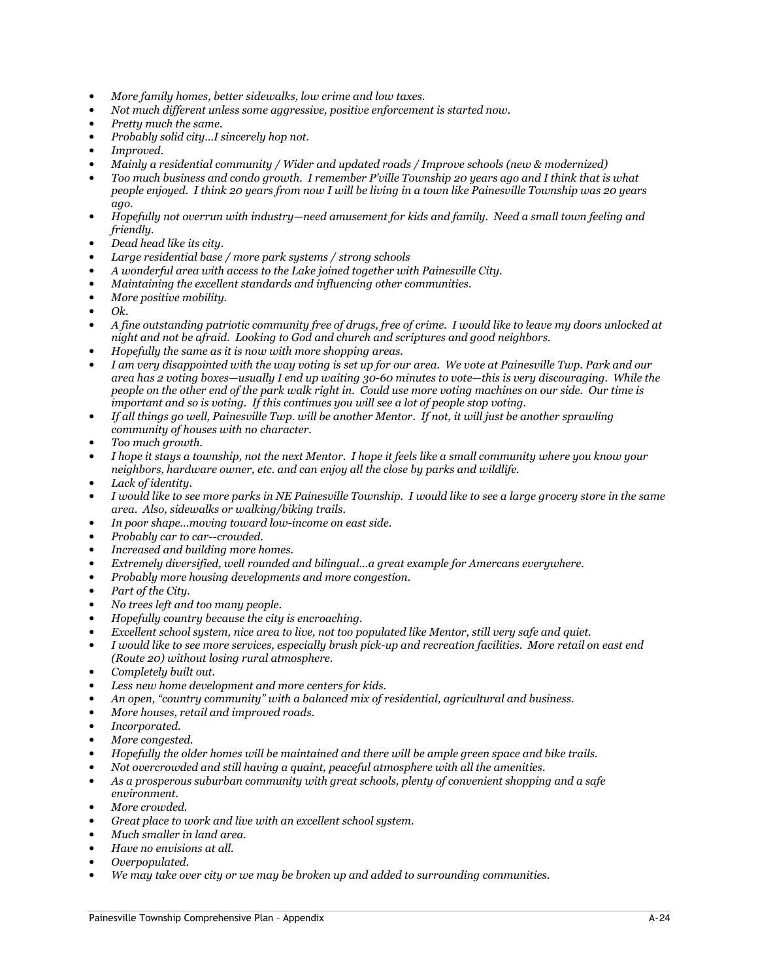- More family homes, better sidewalks, low crime and low taxes.
- Not much different unless some aggressive, positive enforcement is started now.
- Pretty much the same.
- Probably solid city…I sincerely hop not.
- Improved.
- Mainly a residential community / Wider and updated roads / Improve schools (new & modernized)
- Too much business and condo growth. I remember P'ville Township 20 years ago and I think that is what people enjoyed. I think 20 years from now I will be living in a town like Painesville Township was 20 years ago.
- Hopefully not overrun with industry—need amusement for kids and family. Need a small town feeling and friendly.
- Dead head like its city.
- Large residential base / more park systems / strong schools
- A wonderful area with access to the Lake joined together with Painesville City.
- Maintaining the excellent standards and influencing other communities.
- More positive mobility.
- $\Omega$
- A fine outstanding patriotic community free of drugs, free of crime. I would like to leave my doors unlocked at night and not be afraid. Looking to God and church and scriptures and good neighbors.
- Hopefully the same as it is now with more shopping areas.
- I am very disappointed with the way voting is set up for our area. We vote at Painesville Twp. Park and our area has 2 voting boxes—usually I end up waiting 30-60 minutes to vote—this is very discouraging. While the people on the other end of the park walk right in. Could use more voting machines on our side. Our time is important and so is voting. If this continues you will see a lot of people stop voting.
- If all things go well, Painesville Twp. will be another Mentor. If not, it will just be another sprawling community of houses with no character.
- Too much growth.
- I hope it stays a township, not the next Mentor. I hope it feels like a small community where you know your neighbors, hardware owner, etc. and can enjoy all the close by parks and wildlife.
- Lack of identity.
- I would like to see more parks in NE Painesville Township. I would like to see a large grocery store in the same area. Also, sidewalks or walking/biking trails.
- In poor shape…moving toward low-income on east side.
- Probably car to car--crowded.
- Increased and building more homes.
- Extremely diversified, well rounded and bilingual…a great example for Amercans everywhere.
- Probably more housing developments and more congestion.
- Part of the City.
- No trees left and too many people.
- Hopefully country because the city is encroaching.
- Excellent school system, nice area to live, not too populated like Mentor, still very safe and quiet.
- I would like to see more services, especially brush pick-up and recreation facilities. More retail on east end (Route 20) without losing rural atmosphere.
- Completely built out.
- Less new home development and more centers for kids.
- An open, "country community" with a balanced mix of residential, agricultural and business.
- More houses, retail and improved roads.
- Incorporated.
- More congested.
- Hopefully the older homes will be maintained and there will be ample green space and bike trails.
- Not overcrowded and still having a quaint, peaceful atmosphere with all the amenities.
- As a prosperous suburban community with great schools, plenty of convenient shopping and a safe environment.
- More crowded.
- Great place to work and live with an excellent school system.
- Much smaller in land area.
- Have no envisions at all.
- Overpopulated.
- We may take over city or we may be broken up and added to surrounding communities.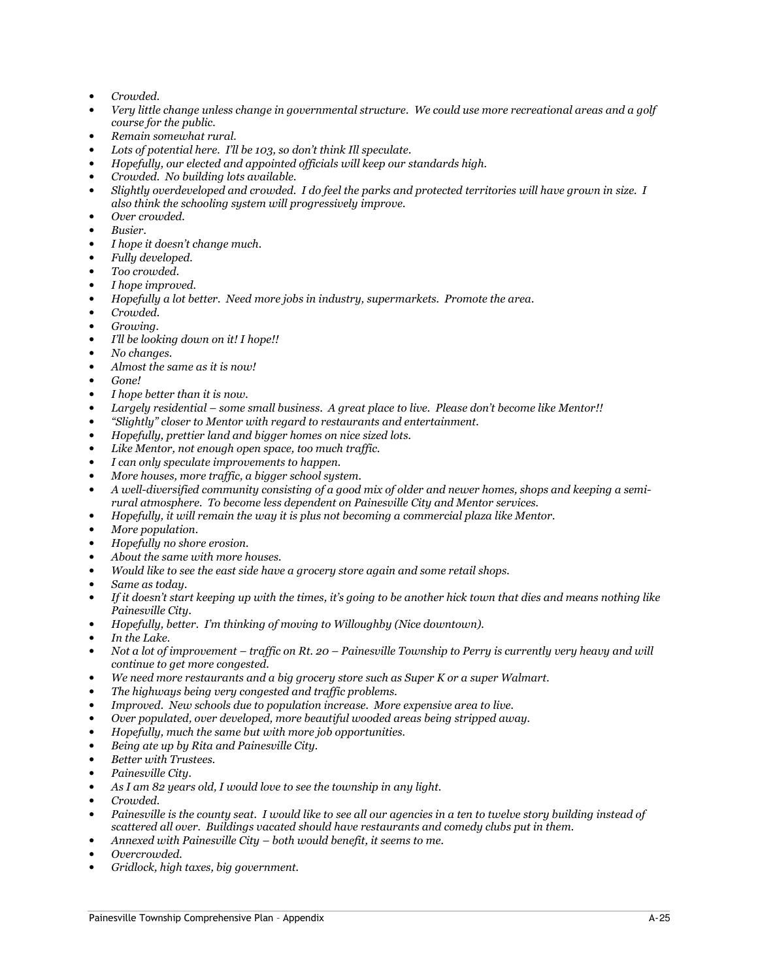- Crowded.
- Very little change unless change in governmental structure. We could use more recreational areas and a golf course for the public.
- Remain somewhat rural.
- Lots of potential here. I'll be 103, so don't think Ill speculate.
- Hopefully, our elected and appointed officials will keep our standards high.
- Crowded. No building lots available.
- Slightly overdeveloped and crowded. I do feel the parks and protected territories will have grown in size. I also think the schooling system will progressively improve.
- Over crowded.
- Busier.
- I hope it doesn't change much.
- Fully developed.
- Too crowded.
- I hope improved.
- Hopefully a lot better. Need more jobs in industry, supermarkets. Promote the area.
- Crowded.
- Growing.
- I'll be looking down on it! I hope!!
- No changes.
- Almost the same as it is now!
- Gone!
- I hope better than it is now.
- Largely residential some small business. A great place to live. Please don't become like Mentor!!
- "Slightly" closer to Mentor with regard to restaurants and entertainment.
- Hopefully, prettier land and bigger homes on nice sized lots.
- Like Mentor, not enough open space, too much traffic.
- I can only speculate improvements to happen.
- More houses, more traffic, a bigger school system.
- A well-diversified community consisting of a good mix of older and newer homes, shops and keeping a semirural atmosphere. To become less dependent on Painesville City and Mentor services.
- Hopefully, it will remain the way it is plus not becoming a commercial plaza like Mentor.
- More population.
- Hopefully no shore erosion.
- About the same with more houses.
- Would like to see the east side have a grocery store again and some retail shops.
- Same as todau.
- If it doesn't start keeping up with the times, it's going to be another hick town that dies and means nothing like Painesville City.
- Hopefully, better. I'm thinking of moving to Willoughby (Nice downtown).
- In the Lake.
- Not a lot of improvement traffic on Rt. 20 Painesville Township to Perry is currently very heavy and will continue to get more congested.
- We need more restaurants and a big grocery store such as Super K or a super Walmart.
- The highways being very congested and traffic problems.
- Improved. New schools due to population increase. More expensive area to live.
- Over populated, over developed, more beautiful wooded areas being stripped away.
- Hopefully, much the same but with more job opportunities.
- Being ate up by Rita and Painesville City.
- Better with Trustees.
- Painesville City.
- As I am 82 years old, I would love to see the township in any light.
- Crowded.
- Painesville is the county seat. I would like to see all our agencies in a ten to twelve story building instead of scattered all over. Buildings vacated should have restaurants and comedy clubs put in them.
- Annexed with Painesville City both would benefit, it seems to me.
- Overcrowded.
- Gridlock, high taxes, big government.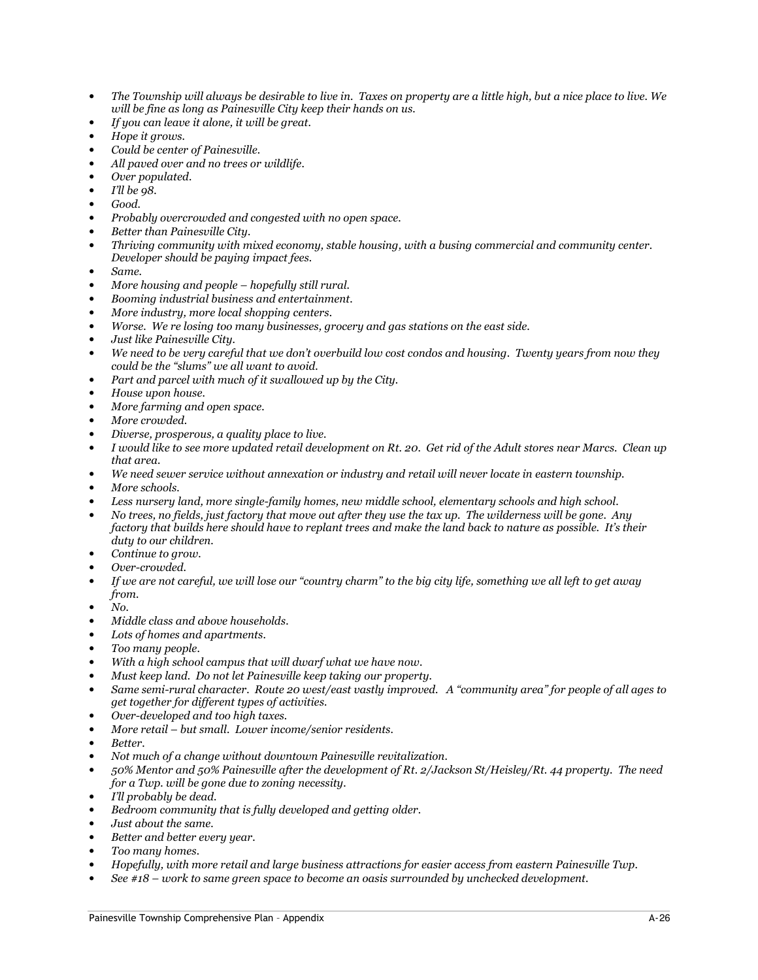- The Township will always be desirable to live in. Taxes on property are a little high, but a nice place to live. We will be fine as long as Painesville City keep their hands on us.
- If you can leave it alone, it will be great.
- Hope it grows.
- Could be center of Painesville.
- All paved over and no trees or wildlife.
- Over populated.
- I'll be 98.
- Good.
- Probably overcrowded and congested with no open space.
- Better than Painesville City.
- Thriving community with mixed economy, stable housing, with a busing commercial and community center. Developer should be paying impact fees.
- Same.
- More housing and people hopefully still rural.
- Booming industrial business and entertainment.
- More industry, more local shopping centers.
- Worse. We re losing too many businesses, grocery and gas stations on the east side.
- Just like Painesville City.
- We need to be very careful that we don't overbuild low cost condos and housing. Twenty years from now they could be the "slums" we all want to avoid.
- Part and parcel with much of it swallowed up by the City.
- House upon house.
- More farming and open space.
- More crowded.
- Diverse, prosperous, a quality place to live.
- I would like to see more updated retail development on Rt. 20. Get rid of the Adult stores near Marcs. Clean up that area.
- We need sewer service without annexation or industry and retail will never locate in eastern township.
- More schools.
- Less nursery land, more single-family homes, new middle school, elementary schools and high school.
- No trees, no fields, just factory that move out after they use the tax up. The wilderness will be gone. Any factory that builds here should have to replant trees and make the land back to nature as possible. It's their duty to our children.
- Continue to grow.
- Over-crowded.
- If we are not careful, we will lose our "country charm" to the big city life, something we all left to get away from.
- No.
- Middle class and above households.
- Lots of homes and apartments.
- Too many people.
- With a high school campus that will dwarf what we have now.
- Must keep land. Do not let Painesville keep taking our property.
- Same semi-rural character. Route 20 west/east vastly improved. A "community area" for people of all ages to get together for different types of activities.
- Over-developed and too high taxes.
- More retail but small. Lower income/senior residents.
- Better.
- Not much of a change without downtown Painesville revitalization.
- 50% Mentor and 50% Painesville after the development of Rt. 2/Jackson St/Heisley/Rt. 44 property. The need for a Twp. will be gone due to zoning necessity.
- I'll probably be dead.
- Bedroom community that is fully developed and getting older.
- Just about the same.
- Better and better every year.
- Too many homes.
- Hopefully, with more retail and large business attractions for easier access from eastern Painesville Twp.
- See #18 work to same green space to become an oasis surrounded by unchecked development.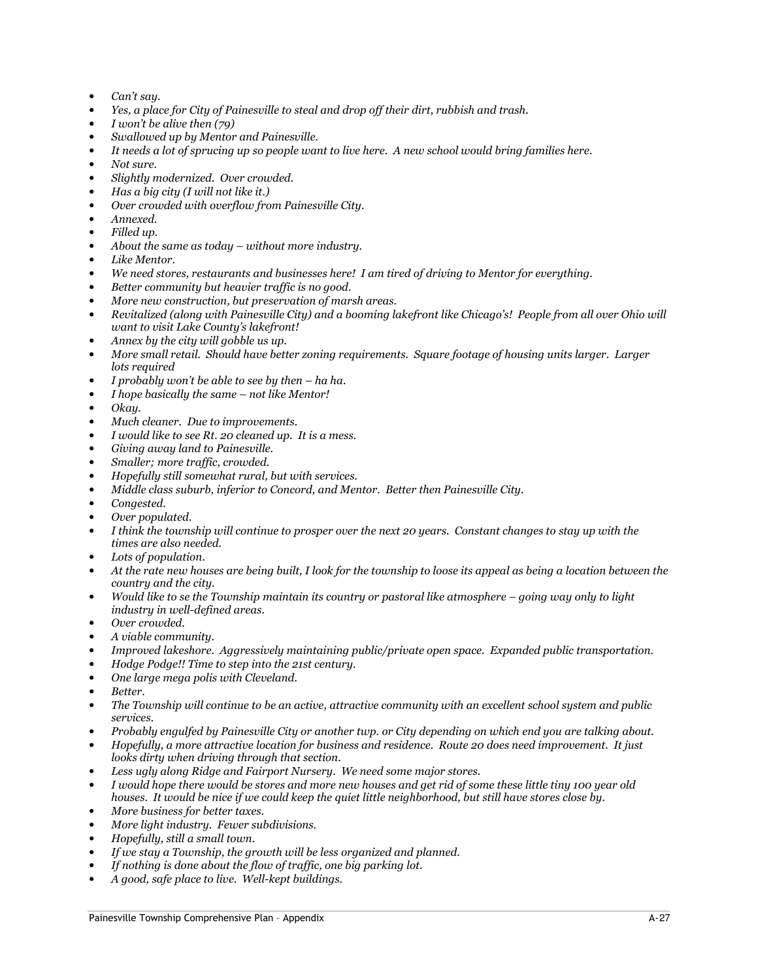- Can't say.
- Yes, a place for City of Painesville to steal and drop off their dirt, rubbish and trash.
- I won't be alive then  $(79)$
- Swallowed up by Mentor and Painesville.
- It needs a lot of sprucing up so people want to live here. A new school would bring families here.
- Not sure.
- Slightly modernized. Over crowded.
- Has a big city (I will not like it.)
- Over crowded with overflow from Painesville City.
- Annexed.
- Filled up.
- About the same as today  $-$  without more industry.
- Like Mentor.
- We need stores, restaurants and businesses here! I am tired of driving to Mentor for everything.
- Better community but heavier traffic is no good.
- More new construction, but preservation of marsh areas.
- Revitalized (along with Painesville City) and a booming lakefront like Chicago's! People from all over Ohio will want to visit Lake County's lakefront!
- Annex by the city will gobble us up.
- More small retail. Should have better zoning requirements. Square footage of housing units larger. Larger lots required
- I probably won't be able to see by then  $-$  ha ha.
- I hope basically the same not like Mentor!
- Okay.
- Much cleaner. Due to improvements.
- I would like to see Rt. 20 cleaned up. It is a mess.
- Giving away land to Painesville.
- Smaller; more traffic, crowded.
- Hopefully still somewhat rural, but with services.
- Middle class suburb, inferior to Concord, and Mentor. Better then Painesville City.
- Congested.
- Over populated.
- I think the township will continue to prosper over the next 20 years. Constant changes to stay up with the times are also needed.
- Lots of population.
- At the rate new houses are being built, I look for the township to loose its appeal as being a location between the country and the city.
- Would like to se the Township maintain its country or pastoral like atmosphere going way only to light industry in well-defined areas.
- Over crowded.
- A viable community.
- Improved lakeshore. Aggressively maintaining public/private open space. Expanded public transportation.
- Hodge Podge!! Time to step into the 21st century.
- One large mega polis with Cleveland.
- Better.
- The Township will continue to be an active, attractive community with an excellent school system and public services.
- Probably engulfed by Painesville City or another twp. or City depending on which end you are talking about. • Hopefully, a more attractive location for business and residence. Route 20 does need improvement. It just
- looks dirty when driving through that section.
- Less ugly along Ridge and Fairport Nursery. We need some major stores.
- I would hope there would be stores and more new houses and get rid of some these little tiny 100 year old houses. It would be nice if we could keep the quiet little neighborhood, but still have stores close by.
- More business for better taxes.
- More light industry. Fewer subdivisions.
- Hopefully, still a small town.
- If we stay a Township, the growth will be less organized and planned.
- If nothing is done about the flow of traffic, one big parking lot.
- A good, safe place to live. Well-kept buildings.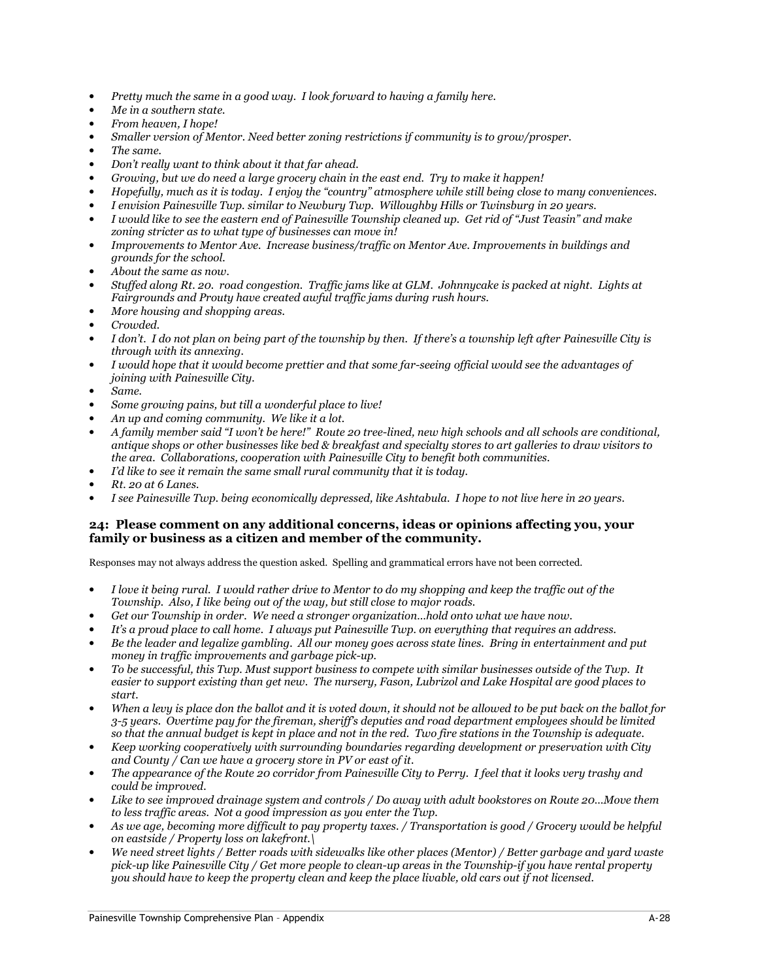- Pretty much the same in a good way. I look forward to having a family here.
- Me in a southern state.
- From heaven, I hope!
- Smaller version of Mentor. Need better zoning restrictions if community is to grow/prosper.
- The same.
- Don't really want to think about it that far ahead.
- Growing, but we do need a large grocery chain in the east end. Try to make it happen!
- Hopefully, much as it is today. I enjoy the "country" atmosphere while still being close to many conveniences.
- I envision Painesville Twp. similar to Newbury Twp. Willoughby Hills or Twinsburg in 20 years.
- I would like to see the eastern end of Painesville Township cleaned up. Get rid of "Just Teasin" and make zoning stricter as to what type of businesses can move in!
- Improvements to Mentor Ave. Increase business/traffic on Mentor Ave. Improvements in buildings and grounds for the school.
- About the same as now.
- Stuffed along Rt. 20. road congestion. Traffic jams like at GLM. Johnnycake is packed at night. Lights at Fairgrounds and Prouty have created awful traffic jams during rush hours.
- More housing and shopping areas.
- Crowded.
- I don't. I do not plan on being part of the township by then. If there's a township left after Painesville City is through with its annexing.
- I would hope that it would become prettier and that some far-seeing official would see the advantages of joining with Painesville City.
- Same.
- Some growing pains, but till a wonderful place to live!
- An up and coming community. We like it a lot.
- A family member said "I won't be here!" Route 20 tree-lined, new high schools and all schools are conditional, antique shops or other businesses like bed & breakfast and specialty stores to art galleries to draw visitors to the area. Collaborations, cooperation with Painesville City to benefit both communities.
- I'd like to see it remain the same small rural community that it is today.
- Rt. 20 at 6 Lanes.
- I see Painesville Twp. being economically depressed, like Ashtabula. I hope to not live here in 20 years.

#### 24: Please comment on any additional concerns, ideas or opinions affecting you, your family or business as a citizen and member of the community.

- I love it being rural. I would rather drive to Mentor to do my shopping and keep the traffic out of the Township. Also, I like being out of the way, but still close to major roads.
- Get our Township in order. We need a stronger organization…hold onto what we have now.
- It's a proud place to call home. I always put Painesville Twp. on everything that requires an address.
- Be the leader and legalize gambling. All our money goes across state lines. Bring in entertainment and put money in traffic improvements and garbage pick-up.
- To be successful, this Twp. Must support business to compete with similar businesses outside of the Twp. It easier to support existing than get new. The nursery, Fason, Lubrizol and Lake Hospital are good places to start.
- When a levy is place don the ballot and it is voted down, it should not be allowed to be put back on the ballot for 3-5 years. Overtime pay for the fireman, sheriff's deputies and road department employees should be limited so that the annual budget is kept in place and not in the red. Two fire stations in the Township is adequate.
- Keep working cooperatively with surrounding boundaries regarding development or preservation with City and County / Can we have a grocery store in PV or east of it.
- The appearance of the Route 20 corridor from Painesville City to Perry. I feel that it looks very trashy and could be improved.
- Like to see improved drainage system and controls / Do away with adult bookstores on Route 20…Move them to less traffic areas. Not a good impression as you enter the Twp.
- As we age, becoming more difficult to pay property taxes. / Transportation is good / Grocery would be helpful on eastside / Property loss on lakefront.\
- We need street lights / Better roads with sidewalks like other places (Mentor) / Better garbage and yard waste pick-up like Painesville City / Get more people to clean-up areas in the Township-if you have rental property you should have to keep the property clean and keep the place livable, old cars out if not licensed.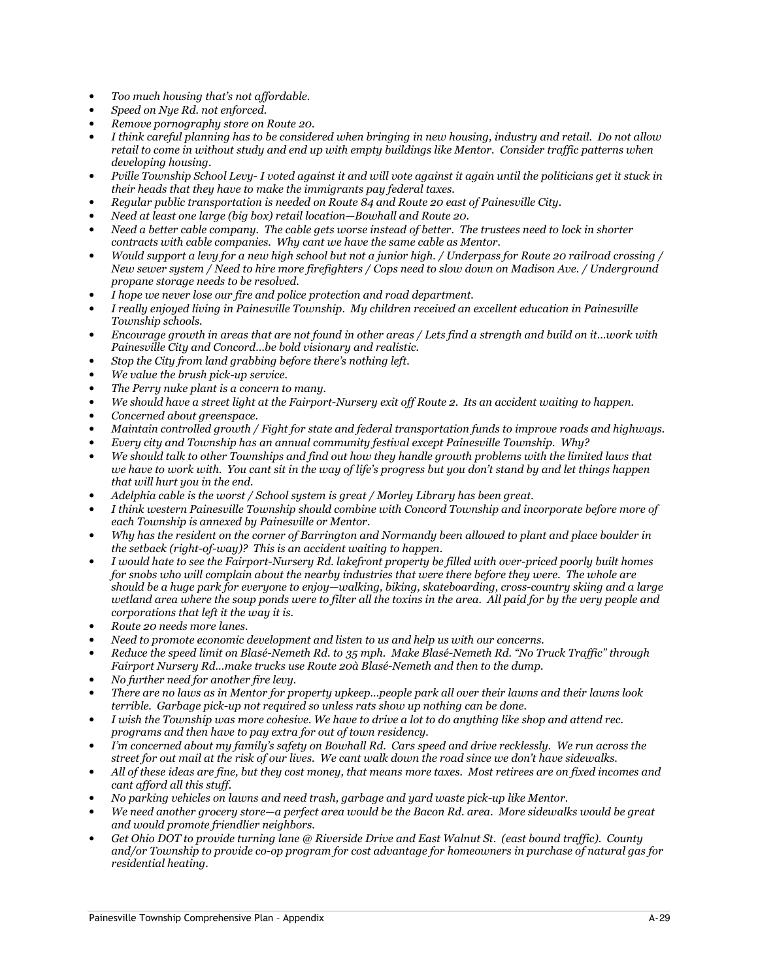- Too much housing that's not affordable.
- Speed on Nye Rd. not enforced.
- Remove pornography store on Route 20.
- I think careful planning has to be considered when bringing in new housing, industry and retail. Do not allow retail to come in without study and end up with empty buildings like Mentor. Consider traffic patterns when developing housing.
- Pville Township School Levy- I voted against it and will vote against it again until the politicians get it stuck in their heads that they have to make the immigrants pay federal taxes.
- Regular public transportation is needed on Route 84 and Route 20 east of Painesville City.
- Need at least one large (big box) retail location—Bowhall and Route 20.
- Need a better cable company. The cable gets worse instead of better. The trustees need to lock in shorter contracts with cable companies. Why cant we have the same cable as Mentor.
- Would support a levy for a new high school but not a junior high. / Underpass for Route 20 railroad crossing / New sewer system / Need to hire more firefighters / Cops need to slow down on Madison Ave. / Underground propane storage needs to be resolved.
- I hope we never lose our fire and police protection and road department.
- I really enjoyed living in Painesville Township. My children received an excellent education in Painesville Township schools.
- Encourage growth in areas that are not found in other areas / Lets find a strength and build on it…work with Painesville City and Concord…be bold visionary and realistic.
- Stop the City from land grabbing before there's nothing left.
- We value the brush pick-up service.
- The Perry nuke plant is a concern to many.
- We should have a street light at the Fairport-Nursery exit off Route 2. Its an accident waiting to happen.
- Concerned about greenspace.
- Maintain controlled growth / Fight for state and federal transportation funds to improve roads and highways.
- Every city and Township has an annual community festival except Painesville Township. Why?
- We should talk to other Townships and find out how they handle growth problems with the limited laws that we have to work with. You cant sit in the way of life's progress but you don't stand by and let things happen that will hurt you in the end.
- Adelphia cable is the worst / School system is great / Morley Library has been great.
- I think western Painesville Township should combine with Concord Township and incorporate before more of each Township is annexed by Painesville or Mentor.
- Why has the resident on the corner of Barrington and Normandy been allowed to plant and place boulder in the setback (right-of-way)? This is an accident waiting to happen.
- I would hate to see the Fairport-Nursery Rd. lakefront property be filled with over-priced poorly built homes for snobs who will complain about the nearby industries that were there before they were. The whole are should be a huge park for everyone to enjoy—walking, biking, skateboarding, cross-country skiing and a large wetland area where the soup ponds were to filter all the toxins in the area. All paid for by the very people and corporations that left it the way it is.
- Route 20 needs more lanes.
- Need to promote economic development and listen to us and help us with our concerns.
- Reduce the speed limit on Blasé-Nemeth Rd. to 35 mph. Make Blasé-Nemeth Rd. "No Truck Traffic" through Fairport Nursery Rd…make trucks use Route 20à Blasé-Nemeth and then to the dump.
- No further need for another fire levy.
- There are no laws as in Mentor for property upkeep…people park all over their lawns and their lawns look terrible. Garbage pick-up not required so unless rats show up nothing can be done.
- I wish the Township was more cohesive. We have to drive a lot to do anything like shop and attend rec. programs and then have to pay extra for out of town residency.
- I'm concerned about my family's safety on Bowhall Rd. Cars speed and drive recklessly. We run across the street for out mail at the risk of our lives. We cant walk down the road since we don't have sidewalks.
- All of these ideas are fine, but they cost money, that means more taxes. Most retirees are on fixed incomes and cant afford all this stuff.
- No parking vehicles on lawns and need trash, garbage and yard waste pick-up like Mentor.
- We need another grocery store—a perfect area would be the Bacon Rd. area. More sidewalks would be great and would promote friendlier neighbors.
- Get Ohio DOT to provide turning lane @ Riverside Drive and East Walnut St. (east bound traffic). County and/or Township to provide co-op program for cost advantage for homeowners in purchase of natural gas for residential heating.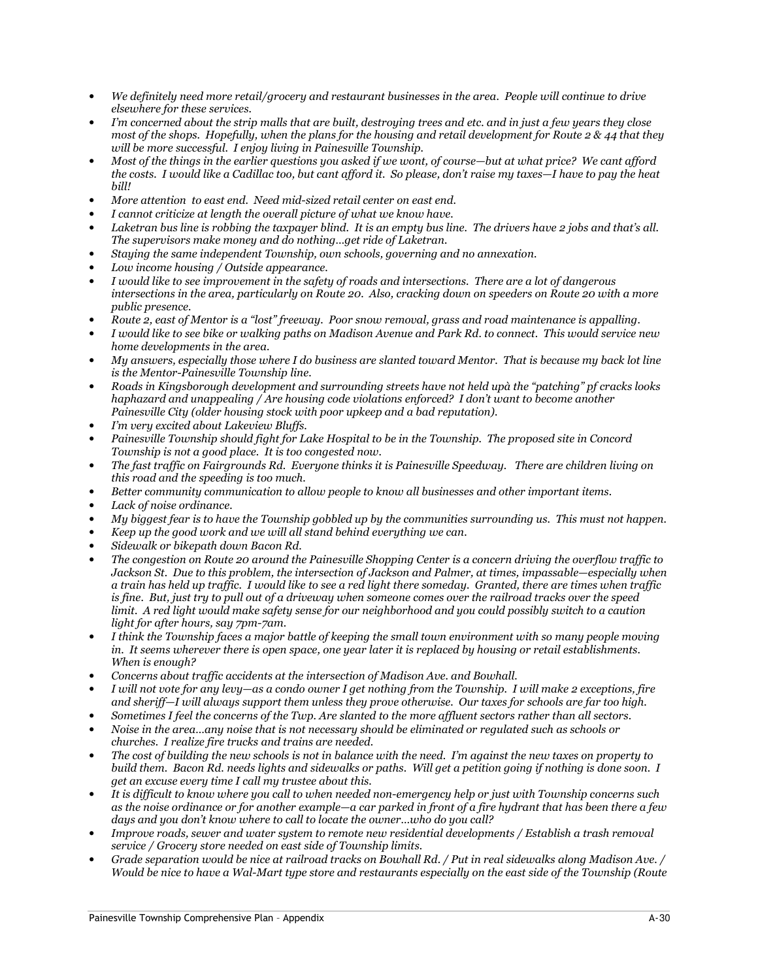- We definitely need more retail/grocery and restaurant businesses in the area. People will continue to drive elsewhere for these services.
- I'm concerned about the strip malls that are built, destroying trees and etc. and in just a few years they close most of the shops. Hopefully, when the plans for the housing and retail development for Route 2  $\&$  44 that they will be more successful. I enjoy living in Painesville Township.
- Most of the things in the earlier questions you asked if we wont, of course—but at what price? We cant afford the costs. I would like a Cadillac too, but cant afford it. So please, don't raise my taxes—I have to pay the heat bill!
- More attention to east end. Need mid-sized retail center on east end.
- I cannot criticize at length the overall picture of what we know have.
- Laketran bus line is robbing the taxpayer blind. It is an empty bus line. The drivers have 2 jobs and that's all. The supervisors make money and do nothing…get ride of Laketran.
- Staying the same independent Township, own schools, governing and no annexation.
- Low income housing / Outside appearance.
- I would like to see improvement in the safety of roads and intersections. There are a lot of dangerous intersections in the area, particularly on Route 20. Also, cracking down on speeders on Route 20 with a more public presence.
- Route 2, east of Mentor is a "lost" freeway. Poor snow removal, grass and road maintenance is appalling.
- I would like to see bike or walking paths on Madison Avenue and Park Rd. to connect. This would service new home developments in the area.
- My answers, especially those where I do business are slanted toward Mentor. That is because my back lot line is the Mentor-Painesville Township line.
- Roads in Kingsborough development and surrounding streets have not held upà the "patching" pf cracks looks haphazard and unappealing / Are housing code violations enforced? I don't want to become another Painesville City (older housing stock with poor upkeep and a bad reputation).
- I'm very excited about Lakeview Bluffs.
- Painesville Township should fight for Lake Hospital to be in the Township. The proposed site in Concord Township is not a good place. It is too congested now.
- The fast traffic on Fairgrounds Rd. Everyone thinks it is Painesville Speedway. There are children living on this road and the speeding is too much.
- Better community communication to allow people to know all businesses and other important items.
- Lack of noise ordinance.
- My biggest fear is to have the Township gobbled up by the communities surrounding us. This must not happen.
- Keep up the good work and we will all stand behind everything we can.
- Sidewalk or bikepath down Bacon Rd.
- The congestion on Route 20 around the Painesville Shopping Center is a concern driving the overflow traffic to Jackson St. Due to this problem, the intersection of Jackson and Palmer, at times, impassable—especially when a train has held up traffic. I would like to see a red light there someday. Granted, there are times when traffic is fine. But, just try to pull out of a driveway when someone comes over the railroad tracks over the speed limit. A red light would make safety sense for our neighborhood and you could possibly switch to a caution light for after hours, say 7pm-7am.
- I think the Township faces a major battle of keeping the small town environment with so many people moving in. It seems wherever there is open space, one year later it is replaced by housing or retail establishments. When is enough?
- Concerns about traffic accidents at the intersection of Madison Ave. and Bowhall.
- I will not vote for any levy—as a condo owner I get nothing from the Township. I will make 2 exceptions, fire and sheriff—I will always support them unless they prove otherwise. Our taxes for schools are far too high.
- Sometimes I feel the concerns of the Twp. Are slanted to the more affluent sectors rather than all sectors.
- Noise in the area…any noise that is not necessary should be eliminated or regulated such as schools or churches. I realize fire trucks and trains are needed.
- The cost of building the new schools is not in balance with the need. I'm against the new taxes on property to build them. Bacon Rd. needs lights and sidewalks or paths. Will get a petition going if nothing is done soon. I get an excuse every time I call my trustee about this.
- It is difficult to know where you call to when needed non-emergency help or just with Township concerns such as the noise ordinance or for another example—a car parked in front of a fire hydrant that has been there a few days and you don't know where to call to locate the owner…who do you call?
- Improve roads, sewer and water system to remote new residential developments / Establish a trash removal service / Grocery store needed on east side of Township limits.
- Grade separation would be nice at railroad tracks on Bowhall Rd. / Put in real sidewalks along Madison Ave. / Would be nice to have a Wal-Mart type store and restaurants especially on the east side of the Township (Route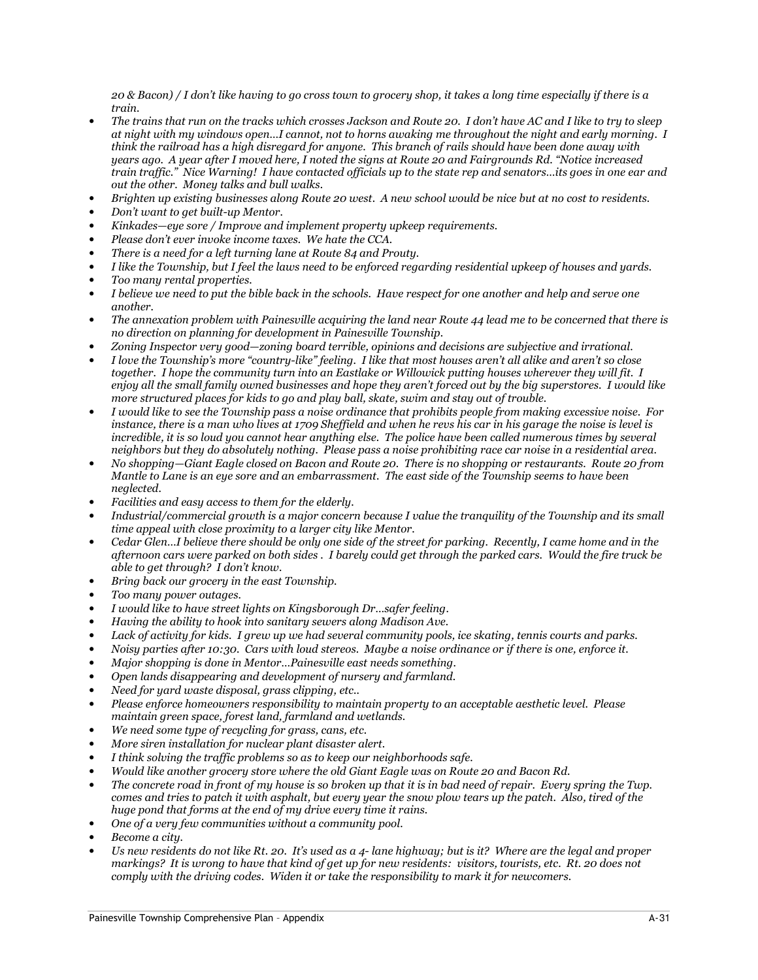20 & Bacon) / I don't like having to go cross town to grocery shop, it takes a long time especially if there is a train.

- The trains that run on the tracks which crosses Jackson and Route 20. I don't have AC and I like to try to sleep at night with my windows open…I cannot, not to horns awaking me throughout the night and early morning. I think the railroad has a high disregard for anyone. This branch of rails should have been done away with years ago. A year after I moved here, I noted the signs at Route 20 and Fairgrounds Rd. "Notice increased train traffic." Nice Warning! I have contacted officials up to the state rep and senators…its goes in one ear and out the other. Money talks and bull walks.
- Brighten up existing businesses along Route 20 west. A new school would be nice but at no cost to residents.
- Don't want to get built-up Mentor.
- Kinkades—eye sore / Improve and implement property upkeep requirements.
- Please don't ever invoke income taxes. We hate the CCA.
- There is a need for a left turning lane at Route 84 and Prouty.
- I like the Township, but I feel the laws need to be enforced regarding residential upkeep of houses and yards.
- Too many rental properties.
- I believe we need to put the bible back in the schools. Have respect for one another and help and serve one another.
- The annexation problem with Painesville acquiring the land near Route 44 lead me to be concerned that there is no direction on planning for development in Painesville Township.
- Zoning Inspector very good—zoning board terrible, opinions and decisions are subjective and irrational.
- I love the Township's more "country-like" feeling. I like that most houses aren't all alike and aren't so close together. I hope the community turn into an Eastlake or Willowick putting houses wherever they will fit. I enjoy all the small family owned businesses and hope they aren't forced out by the big superstores. I would like more structured places for kids to go and play ball, skate, swim and stay out of trouble.
- I would like to see the Township pass a noise ordinance that prohibits people from making excessive noise. For instance, there is a man who lives at 1709 Sheffield and when he revs his car in his garage the noise is level is incredible, it is so loud you cannot hear anything else. The police have been called numerous times by several neighbors but they do absolutely nothing. Please pass a noise prohibiting race car noise in a residential area.
- No shopping—Giant Eagle closed on Bacon and Route 20. There is no shopping or restaurants. Route 20 from Mantle to Lane is an eye sore and an embarrassment. The east side of the Township seems to have been neglected.
- Facilities and easy access to them for the elderly.
- Industrial/commercial growth is a major concern because I value the tranquility of the Township and its small time appeal with close proximity to a larger city like Mentor.
- Cedar Glen…I believe there should be only one side of the street for parking. Recently, I came home and in the afternoon cars were parked on both sides . I barely could get through the parked cars. Would the fire truck be able to get through? I don't know.
- Bring back our grocery in the east Township.
- Too many power outages.
- I would like to have street lights on Kingsborough Dr…safer feeling.
- Having the ability to hook into sanitary sewers along Madison Ave.
- Lack of activity for kids. I grew up we had several community pools, ice skating, tennis courts and parks.
- Noisy parties after 10:30. Cars with loud stereos. Maybe a noise ordinance or if there is one, enforce it.
- Major shopping is done in Mentor…Painesville east needs something.
- Open lands disappearing and development of nursery and farmland.
- Need for yard waste disposal, grass clipping, etc..
- Please enforce homeowners responsibility to maintain property to an acceptable aesthetic level. Please maintain green space, forest land, farmland and wetlands.
- We need some type of recycling for grass, cans, etc.
- More siren installation for nuclear plant disaster alert.
- I think solving the traffic problems so as to keep our neighborhoods safe.
- Would like another grocery store where the old Giant Eagle was on Route 20 and Bacon Rd.
- The concrete road in front of my house is so broken up that it is in bad need of repair. Every spring the Twp. comes and tries to patch it with asphalt, but every year the snow plow tears up the patch. Also, tired of the huge pond that forms at the end of my drive every time it rains.
- One of a very few communities without a community pool.
- Become a city.
- Us new residents do not like Rt. 20. It's used as a 4- lane highway; but is it? Where are the legal and proper markings? It is wrong to have that kind of get up for new residents: visitors, tourists, etc. Rt. 20 does not comply with the driving codes. Widen it or take the responsibility to mark it for newcomers.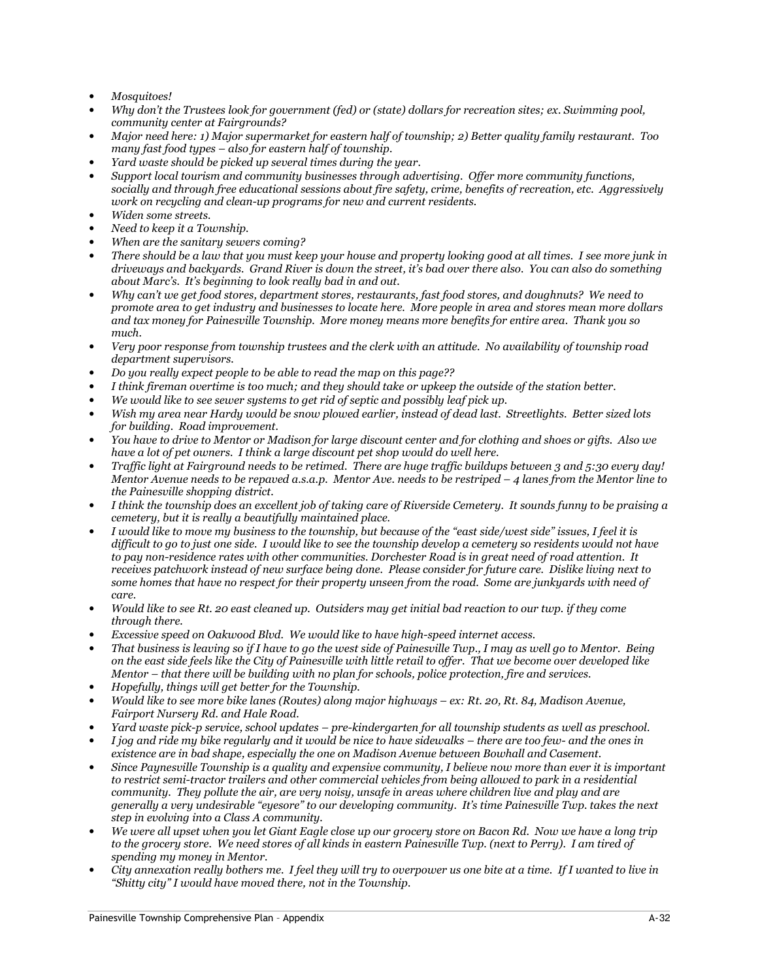- Mosquitoes!
- Why don't the Trustees look for government (fed) or (state) dollars for recreation sites; ex. Swimming pool, community center at Fairgrounds?
- Major need here: 1) Major supermarket for eastern half of township; 2) Better quality family restaurant. Too many fast food types – also for eastern half of township.
- Yard waste should be picked up several times during the year.
- Support local tourism and community businesses through advertising. Offer more community functions, socially and through free educational sessions about fire safety, crime, benefits of recreation, etc. Aggressively work on recycling and clean-up programs for new and current residents.
- Widen some streets.
- Need to keep it a Township.
- When are the sanitary sewers comina?
- There should be a law that you must keep your house and property looking good at all times. I see more junk in driveways and backyards. Grand River is down the street, it's bad over there also. You can also do something about Marc's. It's beginning to look really bad in and out.
- Why can't we get food stores, department stores, restaurants, fast food stores, and doughnuts? We need to promote area to get industry and businesses to locate here. More people in area and stores mean more dollars and tax money for Painesville Township. More money means more benefits for entire area. Thank you so much.
- Very poor response from township trustees and the clerk with an attitude. No availability of township road department supervisors.
- Do you really expect people to be able to read the map on this page??
- I think fireman overtime is too much; and they should take or upkeep the outside of the station better.
- We would like to see sewer systems to get rid of septic and possibly leaf pick up.
- Wish my area near Hardy would be snow plowed earlier, instead of dead last. Streetlights. Better sized lots for building. Road improvement.
- You have to drive to Mentor or Madison for large discount center and for clothing and shoes or gifts. Also we have a lot of pet owners. I think a large discount pet shop would do well here.
- Traffic light at Fairground needs to be retimed. There are huge traffic buildups between 3 and 5:30 every day! Mentor Avenue needs to be repaved a.s.a.p. Mentor Ave. needs to be restriped – 4 lanes from the Mentor line to the Painesville shopping district.
- I think the township does an excellent job of taking care of Riverside Cemetery. It sounds funny to be praising a cemetery, but it is really a beautifully maintained place.
- I would like to move my business to the township, but because of the "east side/west side" issues, I feel it is difficult to go to just one side. I would like to see the township develop a cemetery so residents would not have to pay non-residence rates with other communities. Dorchester Road is in great need of road attention. It receives patchwork instead of new surface being done. Please consider for future care. Dislike living next to some homes that have no respect for their property unseen from the road. Some are junkyards with need of care.
- Would like to see Rt. 20 east cleaned up. Outsiders may get initial bad reaction to our twp. if they come through there.
- Excessive speed on Oakwood Blvd. We would like to have high-speed internet access.
- That business is leaving so if I have to go the west side of Painesville Twp., I may as well go to Mentor. Being on the east side feels like the City of Painesville with little retail to offer. That we become over developed like Mentor – that there will be building with no plan for schools, police protection, fire and services.
- Hopefully, things will get better for the Township.
- Would like to see more bike lanes (Routes) along major highways ex: Rt. 20, Rt. 84, Madison Avenue, Fairport Nursery Rd. and Hale Road.
- Yard waste pick-p service, school updates pre-kindergarten for all township students as well as preschool.
- I jog and ride my bike regularly and it would be nice to have sidewalks there are too few- and the ones in existence are in bad shape, especially the one on Madison Avenue between Bowhall and Casement.
- Since Paynesville Township is a quality and expensive community, I believe now more than ever it is important to restrict semi-tractor trailers and other commercial vehicles from being allowed to park in a residential community. They pollute the air, are very noisy, unsafe in areas where children live and play and are generally a very undesirable "eyesore" to our developing community. It's time Painesville Twp. takes the next step in evolving into a Class A community.
- We were all upset when you let Giant Eagle close up our grocery store on Bacon Rd. Now we have a long trip to the grocery store. We need stores of all kinds in eastern Painesville Twp. (next to Perry). I am tired of spending my money in Mentor.
- City annexation really bothers me. I feel they will try to overpower us one bite at a time. If I wanted to live in "Shitty city" I would have moved there, not in the Township.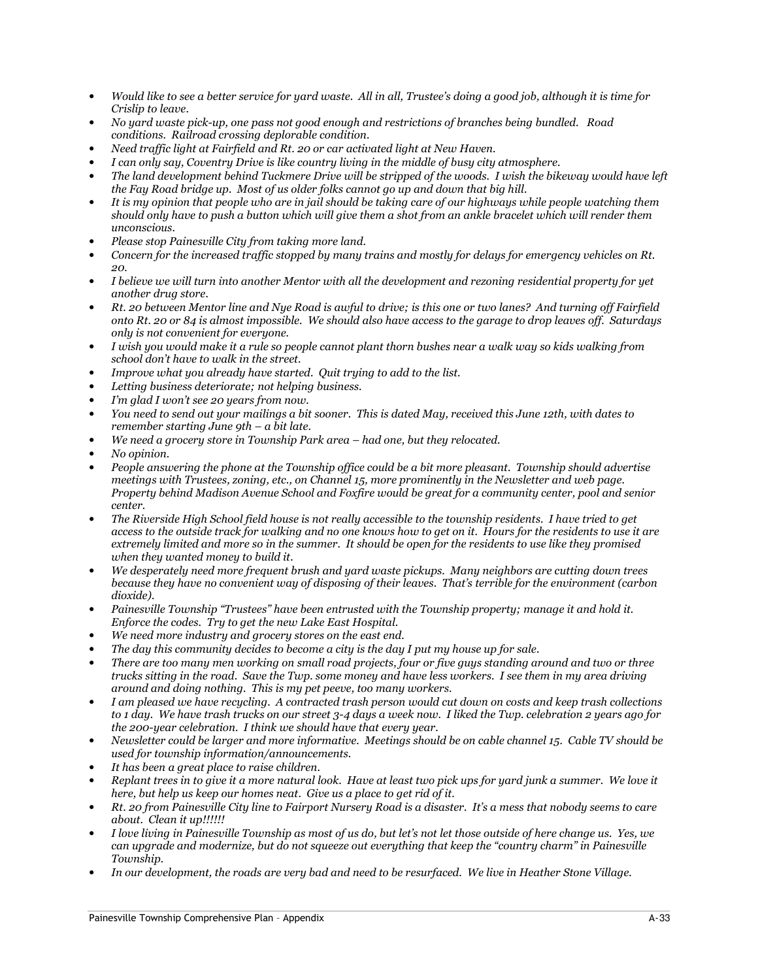- Would like to see a better service for yard waste. All in all, Trustee's doing a good job, although it is time for Crislip to leave.
- No yard waste pick-up, one pass not good enough and restrictions of branches being bundled. Road conditions. Railroad crossing deplorable condition.
- Need traffic light at Fairfield and Rt. 20 or car activated light at New Haven.
- I can only say, Coventry Drive is like country living in the middle of busy city atmosphere.
- The land development behind Tuckmere Drive will be stripped of the woods. I wish the bikeway would have left the Fay Road bridge up. Most of us older folks cannot go up and down that big hill.
- It is my opinion that people who are in jail should be taking care of our highways while people watching them should only have to push a button which will give them a shot from an ankle bracelet which will render them unconscious.
- Please stop Painesville City from taking more land.
- Concern for the increased traffic stopped by many trains and mostly for delays for emergency vehicles on Rt. 20.
- I believe we will turn into another Mentor with all the development and rezoning residential property for yet another drug store.
- Rt. 20 between Mentor line and Nye Road is awful to drive; is this one or two lanes? And turning off Fairfield onto Rt. 20 or 84 is almost impossible. We should also have access to the garage to drop leaves off. Saturdays only is not convenient for everyone.
- I wish you would make it a rule so people cannot plant thorn bushes near a walk way so kids walking from school don't have to walk in the street.
- Improve what you already have started. Quit trying to add to the list.
- Letting business deteriorate; not helping business.
- I'm glad I won't see 20 years from now.
- You need to send out your mailings a bit sooner. This is dated May, received this June 12th, with dates to remember starting June 9th – a bit late.
- We need a grocery store in Township Park area had one, but they relocated.
- No opinion.
- People answering the phone at the Township office could be a bit more pleasant. Township should advertise meetings with Trustees, zoning, etc., on Channel 15, more prominently in the Newsletter and web page. Property behind Madison Avenue School and Foxfire would be great for a community center, pool and senior center.
- The Riverside High School field house is not really accessible to the township residents. I have tried to get access to the outside track for walking and no one knows how to get on it. Hours for the residents to use it are extremely limited and more so in the summer. It should be open for the residents to use like they promised when they wanted money to build it.
- We desperately need more frequent brush and yard waste pickups. Many neighbors are cutting down trees because they have no convenient way of disposing of their leaves. That's terrible for the environment (carbon dioxide).
- Painesville Township "Trustees" have been entrusted with the Township property; manage it and hold it. Enforce the codes. Try to get the new Lake East Hospital.
- We need more industry and grocery stores on the east end.
- The day this community decides to become a city is the day I put my house up for sale.
- There are too many men working on small road projects, four or five guys standing around and two or three trucks sitting in the road. Save the Twp. some money and have less workers. I see them in my area driving around and doing nothing. This is my pet peeve, too many workers.
- I am pleased we have recycling. A contracted trash person would cut down on costs and keep trash collections to 1 day. We have trash trucks on our street 3-4 days a week now. I liked the Twp. celebration 2 years ago for the 200-year celebration. I think we should have that every year.
- Newsletter could be larger and more informative. Meetings should be on cable channel 15. Cable TV should be used for township information/announcements.
- It has been a great place to raise children.
- Replant trees in to give it a more natural look. Have at least two pick ups for yard junk a summer. We love it here, but help us keep our homes neat. Give us a place to get rid of it.
- Rt. 20 from Painesville City line to Fairport Nursery Road is a disaster. It's a mess that nobody seems to care about. Clean it up!!!!!!
- I love living in Painesville Township as most of us do, but let's not let those outside of here change us. Yes, we can upgrade and modernize, but do not squeeze out everything that keep the "country charm" in Painesville Township.
- In our development, the roads are very bad and need to be resurfaced. We live in Heather Stone Village.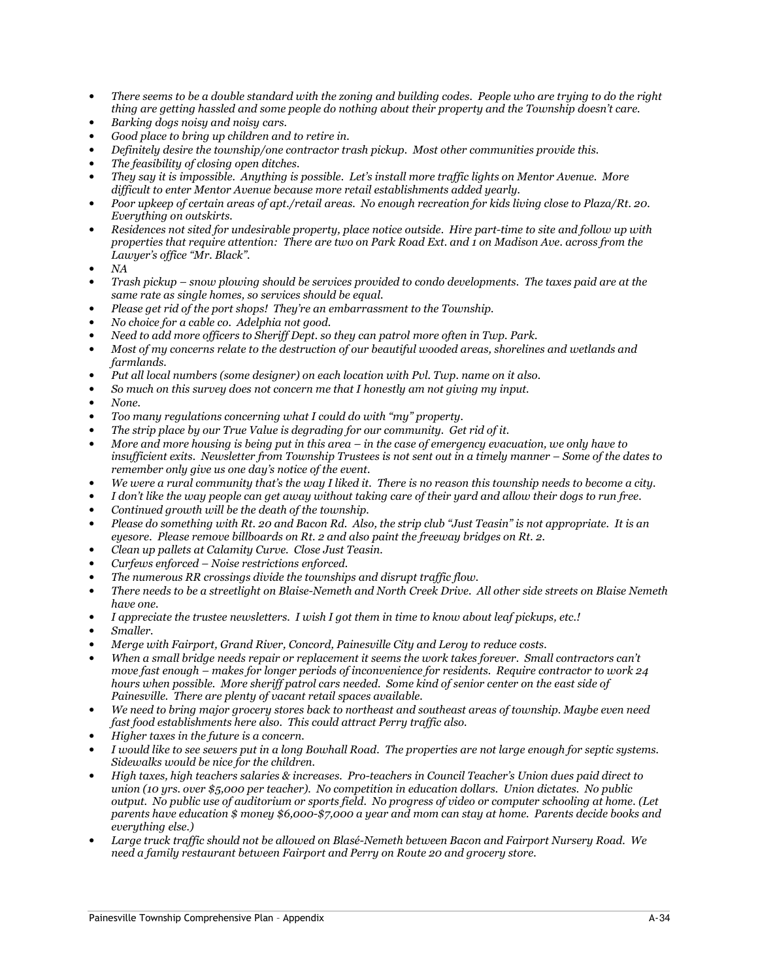- There seems to be a double standard with the zoning and building codes. People who are trying to do the right thing are getting hassled and some people do nothing about their property and the Township doesn't care.
- Barking dogs noisy and noisy cars.
- Good place to bring up children and to retire in.
- Definitely desire the township/one contractor trash pickup. Most other communities provide this.
- The feasibility of closing open ditches.
- They say it is impossible. Anything is possible. Let's install more traffic lights on Mentor Avenue. More difficult to enter Mentor Avenue because more retail establishments added yearly.
- Poor upkeep of certain areas of apt./retail areas. No enough recreation for kids living close to Plaza/Rt. 20. Everything on outskirts.
- Residences not sited for undesirable property, place notice outside. Hire part-time to site and follow up with properties that require attention: There are two on Park Road Ext. and 1 on Madison Ave. across from the Lawyer's office "Mr. Black".
- NA
- Trash pickup snow plowing should be services provided to condo developments. The taxes paid are at the same rate as single homes, so services should be equal.
- Please get rid of the port shops! They're an embarrassment to the Township.
- No choice for a cable co. Adelphia not good.
- Need to add more officers to Sheriff Dept. so they can patrol more often in Twp. Park.
- Most of my concerns relate to the destruction of our beautiful wooded areas, shorelines and wetlands and farmlands.
- Put all local numbers (some designer) on each location with Pvl. Twp. name on it also.
- So much on this survey does not concern me that I honestly am not giving my input.
- None.
- Too many regulations concerning what I could do with "my" property.
- The strip place by our True Value is degrading for our community. Get rid of it.
- More and more housing is being put in this area  $-$  in the case of emergency evacuation, we only have to insufficient exits. Newsletter from Township Trustees is not sent out in a timely manner – Some of the dates to remember only give us one day's notice of the event.
- We were a rural community that's the way I liked it. There is no reason this township needs to become a city.
- I don't like the way people can get away without taking care of their yard and allow their dogs to run free.
- Continued growth will be the death of the township.
- Please do something with Rt. 20 and Bacon Rd. Also, the strip club "Just Teasin" is not appropriate. It is an eyesore. Please remove billboards on Rt. 2 and also paint the freeway bridges on Rt. 2.
- Clean up pallets at Calamity Curve. Close Just Teasin.
- Curfews enforced Noise restrictions enforced.
- The numerous RR crossings divide the townships and disrupt traffic flow.
- There needs to be a streetlight on Blaise-Nemeth and North Creek Drive. All other side streets on Blaise Nemeth have one.
- I appreciate the trustee newsletters. I wish I got them in time to know about leaf pickups, etc.!
- Smaller.
- Merge with Fairport, Grand River, Concord, Painesville City and Leroy to reduce costs.
- When a small bridge needs repair or replacement it seems the work takes forever. Small contractors can't move fast enough – makes for longer periods of inconvenience for residents. Require contractor to work 24 hours when possible. More sheriff patrol cars needed. Some kind of senior center on the east side of Painesville. There are plenty of vacant retail spaces available.
- We need to bring major grocery stores back to northeast and southeast areas of township. Maybe even need fast food establishments here also. This could attract Perry traffic also.
- Higher taxes in the future is a concern.
- I would like to see sewers put in a long Bowhall Road. The properties are not large enough for septic systems. Sidewalks would be nice for the children.
- High taxes, high teachers salaries & increases. Pro-teachers in Council Teacher's Union dues paid direct to union (10 yrs. over \$5,000 per teacher). No competition in education dollars. Union dictates. No public output. No public use of auditorium or sports field. No progress of video or computer schooling at home. (Let parents have education \$ money \$6,000-\$7,000 a year and mom can stay at home. Parents decide books and everything else.)
- Large truck traffic should not be allowed on Blasé-Nemeth between Bacon and Fairport Nursery Road. We need a family restaurant between Fairport and Perry on Route 20 and grocery store.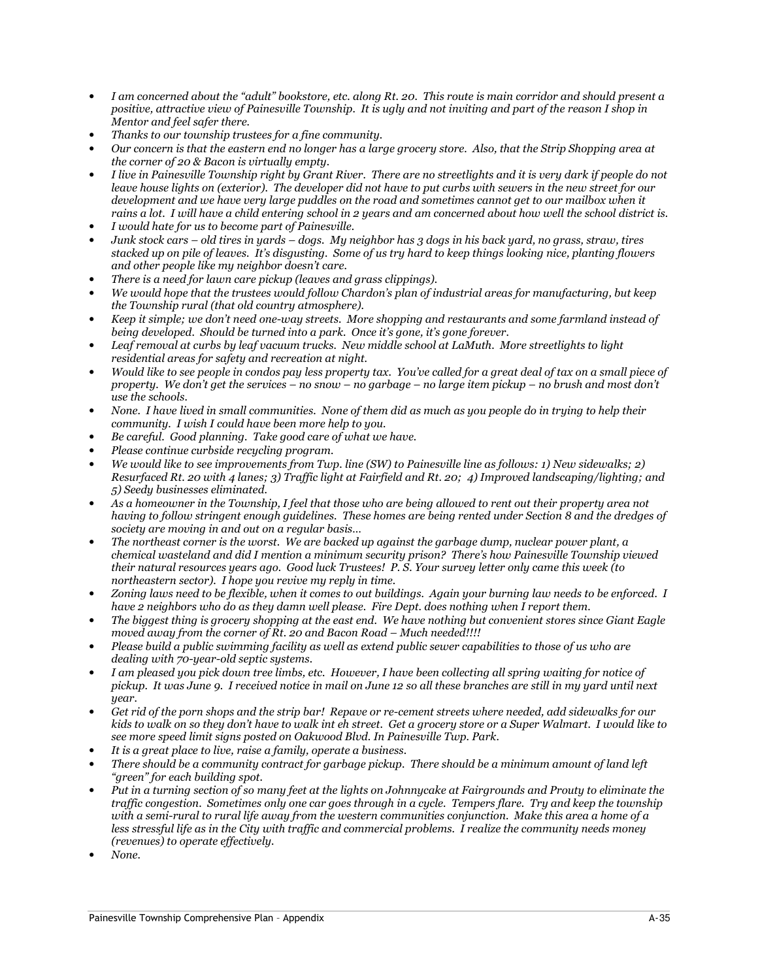- I am concerned about the "adult" bookstore, etc. along Rt. 20. This route is main corridor and should present a positive, attractive view of Painesville Township. It is ugly and not inviting and part of the reason I shop in Mentor and feel safer there.
- Thanks to our township trustees for a fine community.
- Our concern is that the eastern end no longer has a large grocery store. Also, that the Strip Shopping area at the corner of 20 & Bacon is virtually empty.
- I live in Painesville Township right by Grant River. There are no streetlights and it is very dark if people do not leave house lights on (exterior). The developer did not have to put curbs with sewers in the new street for our development and we have very large puddles on the road and sometimes cannot get to our mailbox when it rains a lot. I will have a child entering school in 2 years and am concerned about how well the school district is.
- I would hate for us to become part of Painesville.
- Junk stock cars old tires in yards dogs. My neighbor has 3 dogs in his back yard, no grass, straw, tires stacked up on pile of leaves. It's disgusting. Some of us try hard to keep things looking nice, planting flowers and other people like my neighbor doesn't care.
- There is a need for lawn care pickup (leaves and grass clippings).
- We would hope that the trustees would follow Chardon's plan of industrial areas for manufacturing, but keep the Township rural (that old country atmosphere).
- Keep it simple; we don't need one-way streets. More shopping and restaurants and some farmland instead of being developed. Should be turned into a park. Once it's gone, it's gone forever.
- Leaf removal at curbs by leaf vacuum trucks. New middle school at LaMuth. More streetlights to light residential areas for safety and recreation at night.
- Would like to see people in condos pay less property tax. You've called for a great deal of tax on a small piece of property. We don't get the services – no snow – no garbage – no large item pickup – no brush and most don't use the schools.
- None. I have lived in small communities. None of them did as much as you people do in trying to help their community. I wish I could have been more help to you.
- Be careful. Good planning. Take good care of what we have.
- Please continue curbside recycling program.
- We would like to see improvements from Twp. line (SW) to Painesville line as follows: 1) New sidewalks; 2) Resurfaced Rt. 20 with 4 lanes; 3) Traffic light at Fairfield and Rt. 20; 4) Improved landscaping/lighting; and 5) Seedy businesses eliminated.
- As a homeowner in the Township, I feel that those who are being allowed to rent out their property area not having to follow stringent enough guidelines. These homes are being rented under Section 8 and the dredges of society are moving in and out on a regular basis…
- The northeast corner is the worst. We are backed up against the garbage dump, nuclear power plant, a chemical wasteland and did I mention a minimum security prison? There's how Painesville Township viewed their natural resources years ago. Good luck Trustees! P. S. Your survey letter only came this week (to northeastern sector). I hope you revive my reply in time.
- Zoning laws need to be flexible, when it comes to out buildings. Again your burning law needs to be enforced. I have 2 neighbors who do as they damn well please. Fire Dept. does nothing when I report them.
- The biggest thing is grocery shopping at the east end. We have nothing but convenient stores since Giant Eagle moved away from the corner of  $Rt$ . 20 and Bacon Road – Much needed!!!!
- Please build a public swimming facility as well as extend public sewer capabilities to those of us who are dealing with 70-year-old septic systems.
- I am pleased you pick down tree limbs, etc. However, I have been collecting all spring waiting for notice of pickup. It was June 9. I received notice in mail on June 12 so all these branches are still in my yard until next year.
- Get rid of the porn shops and the strip bar! Repave or re-cement streets where needed, add sidewalks for our kids to walk on so they don't have to walk int eh street. Get a grocery store or a Super Walmart. I would like to see more speed limit signs posted on Oakwood Blvd. In Painesville Twp. Park.
- It is a great place to live, raise a family, operate a business.
- There should be a community contract for garbage pickup. There should be a minimum amount of land left "green" for each building spot.
- Put in a turning section of so many feet at the lights on Johnnycake at Fairgrounds and Prouty to eliminate the traffic congestion. Sometimes only one car goes through in a cycle. Tempers flare. Try and keep the township with a semi-rural to rural life away from the western communities conjunction. Make this area a home of a less stressful life as in the City with traffic and commercial problems. I realize the community needs money (revenues) to operate effectively.
- None.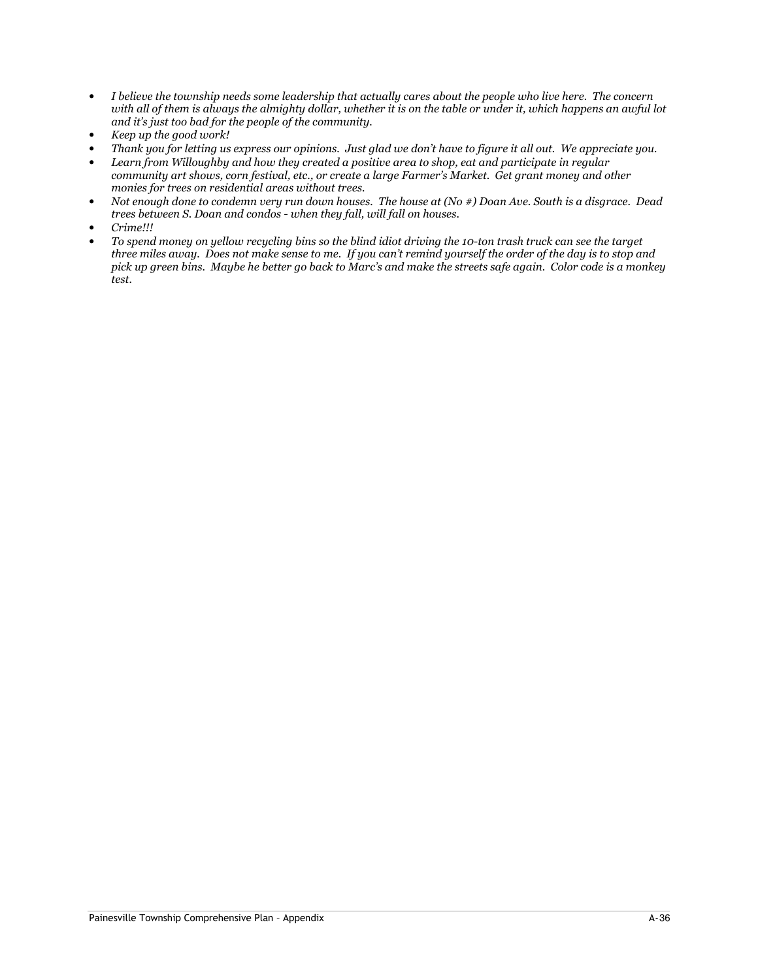- I believe the township needs some leadership that actually cares about the people who live here. The concern with all of them is always the almighty dollar, whether it is on the table or under it, which happens an awful lot and it's just too bad for the people of the community.
- Keep up the good work!
- Thank you for letting us express our opinions. Just glad we don't have to figure it all out. We appreciate you.
- Learn from Willoughby and how they created a positive area to shop, eat and participate in regular community art shows, corn festival, etc., or create a large Farmer's Market. Get grant money and other monies for trees on residential areas without trees.
- Not enough done to condemn very run down houses. The house at (No #) Doan Ave. South is a disgrace. Dead trees between S. Doan and condos - when they fall, will fall on houses.
- Crime!!!
- To spend money on yellow recycling bins so the blind idiot driving the 10-ton trash truck can see the target three miles away. Does not make sense to me. If you can't remind yourself the order of the day is to stop and pick up green bins. Maybe he better go back to Marc's and make the streets safe again. Color code is a monkey test.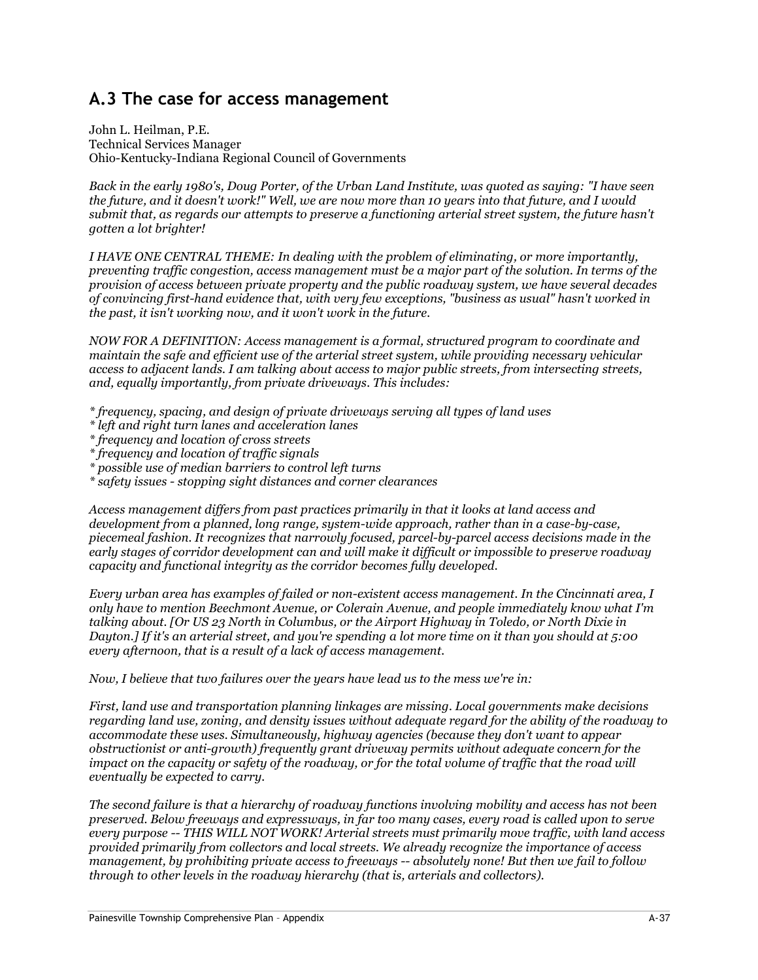# A.3 The case for access management

John L. Heilman, P.E. Technical Services Manager Ohio-Kentucky-Indiana Regional Council of Governments

Back in the early 1980's, Doug Porter, of the Urban Land Institute, was quoted as saying: "I have seen the future, and it doesn't work!" Well, we are now more than 10 years into that future, and I would submit that, as regards our attempts to preserve a functioning arterial street system, the future hasn't gotten a lot brighter!

I HAVE ONE CENTRAL THEME: In dealing with the problem of eliminating, or more importantly, preventing traffic congestion, access management must be a major part of the solution. In terms of the provision of access between private property and the public roadway system, we have several decades of convincing first-hand evidence that, with very few exceptions, "business as usual" hasn't worked in the past, it isn't working now, and it won't work in the future.

NOW FOR A DEFINITION: Access management is a formal, structured program to coordinate and maintain the safe and efficient use of the arterial street system, while providing necessary vehicular access to adjacent lands. I am talking about access to major public streets, from intersecting streets, and, equally importantly, from private driveways. This includes:

- \* frequency, spacing, and design of private driveways serving all types of land uses
- \* left and right turn lanes and acceleration lanes
- \* frequency and location of cross streets
- \* frequency and location of traffic signals
- \* possible use of median barriers to control left turns
- \* safety issues stopping sight distances and corner clearances

Access management differs from past practices primarily in that it looks at land access and development from a planned, long range, system-wide approach, rather than in a case-by-case, piecemeal fashion. It recognizes that narrowly focused, parcel-by-parcel access decisions made in the early stages of corridor development can and will make it difficult or impossible to preserve roadway capacity and functional integrity as the corridor becomes fully developed.

Every urban area has examples of failed or non-existent access management. In the Cincinnati area, I only have to mention Beechmont Avenue, or Colerain Avenue, and people immediately know what I'm talking about. [Or US 23 North in Columbus, or the Airport Highway in Toledo, or North Dixie in Dayton.] If it's an arterial street, and you're spending a lot more time on it than you should at 5:00 every afternoon, that is a result of a lack of access management.

Now, I believe that two failures over the years have lead us to the mess we're in:

First, land use and transportation planning linkages are missing. Local governments make decisions regarding land use, zoning, and density issues without adequate regard for the ability of the roadway to accommodate these uses. Simultaneously, highway agencies (because they don't want to appear obstructionist or anti-growth) frequently grant driveway permits without adequate concern for the impact on the capacity or safety of the roadway, or for the total volume of traffic that the road will eventually be expected to carry.

The second failure is that a hierarchy of roadway functions involving mobility and access has not been preserved. Below freeways and expressways, in far too many cases, every road is called upon to serve every purpose -- THIS WILL NOT WORK! Arterial streets must primarily move traffic, with land access provided primarily from collectors and local streets. We already recognize the importance of access management, by prohibiting private access to freeways -- absolutely none! But then we fail to follow through to other levels in the roadway hierarchy (that is, arterials and collectors).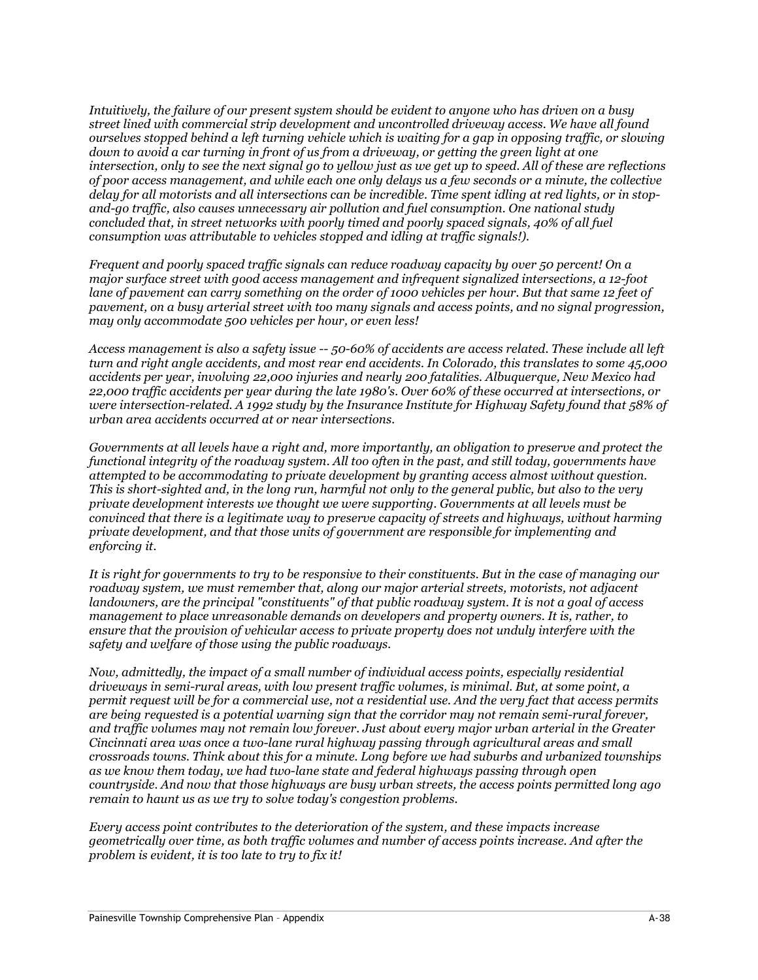Intuitively, the failure of our present system should be evident to anyone who has driven on a busy street lined with commercial strip development and uncontrolled driveway access. We have all found ourselves stopped behind a left turning vehicle which is waiting for a gap in opposing traffic, or slowing down to avoid a car turning in front of us from a driveway, or getting the green light at one intersection, only to see the next signal go to yellow just as we get up to speed. All of these are reflections of poor access management, and while each one only delays us a few seconds or a minute, the collective delay for all motorists and all intersections can be incredible. Time spent idling at red lights, or in stopand-go traffic, also causes unnecessary air pollution and fuel consumption. One national study concluded that, in street networks with poorly timed and poorly spaced signals, 40% of all fuel consumption was attributable to vehicles stopped and idling at traffic signals!).

Frequent and poorly spaced traffic signals can reduce roadway capacity by over 50 percent! On a major surface street with good access management and infrequent signalized intersections, a 12-foot lane of pavement can carry something on the order of 1000 vehicles per hour. But that same 12 feet of pavement, on a busy arterial street with too many signals and access points, and no signal progression, may only accommodate 500 vehicles per hour, or even less!

Access management is also a safety issue -- 50-60% of accidents are access related. These include all left turn and right angle accidents, and most rear end accidents. In Colorado, this translates to some 45,000 accidents per year, involving 22,000 injuries and nearly 200 fatalities. Albuquerque, New Mexico had 22,000 traffic accidents per year during the late 1980's. Over 60% of these occurred at intersections, or were intersection-related. A 1992 study by the Insurance Institute for Highway Safety found that 58% of urban area accidents occurred at or near intersections.

Governments at all levels have a right and, more importantly, an obligation to preserve and protect the functional integrity of the roadway system. All too often in the past, and still today, governments have attempted to be accommodating to private development by granting access almost without question. This is short-sighted and, in the long run, harmful not only to the general public, but also to the very private development interests we thought we were supporting. Governments at all levels must be convinced that there is a legitimate way to preserve capacity of streets and highways, without harming private development, and that those units of government are responsible for implementing and enforcing it.

It is right for governments to try to be responsive to their constituents. But in the case of managing our roadway system, we must remember that, along our major arterial streets, motorists, not adjacent landowners, are the principal "constituents" of that public roadway system. It is not a goal of access management to place unreasonable demands on developers and property owners. It is, rather, to ensure that the provision of vehicular access to private property does not unduly interfere with the safety and welfare of those using the public roadways.

Now, admittedly, the impact of a small number of individual access points, especially residential driveways in semi-rural areas, with low present traffic volumes, is minimal. But, at some point, a permit request will be for a commercial use, not a residential use. And the very fact that access permits are being requested is a potential warning sign that the corridor may not remain semi-rural forever, and traffic volumes may not remain low forever. Just about every major urban arterial in the Greater Cincinnati area was once a two-lane rural highway passing through agricultural areas and small crossroads towns. Think about this for a minute. Long before we had suburbs and urbanized townships as we know them today, we had two-lane state and federal highways passing through open countryside. And now that those highways are busy urban streets, the access points permitted long ago remain to haunt us as we try to solve today's congestion problems.

Every access point contributes to the deterioration of the system, and these impacts increase geometrically over time, as both traffic volumes and number of access points increase. And after the problem is evident, it is too late to try to fix it!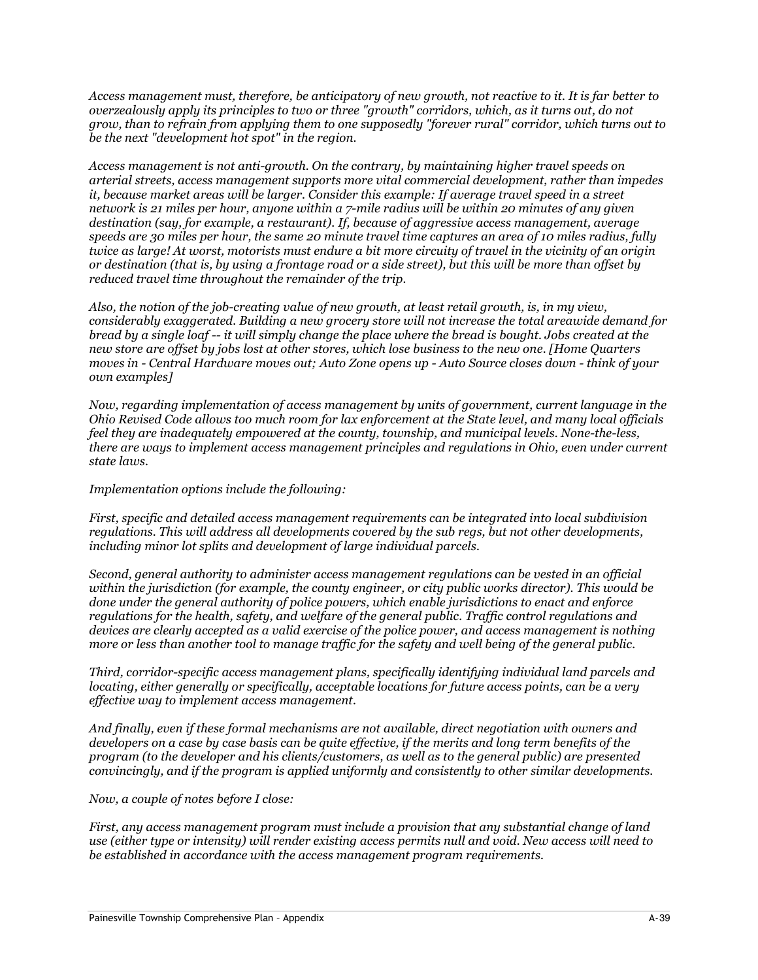Access management must, therefore, be anticipatory of new growth, not reactive to it. It is far better to overzealously apply its principles to two or three "growth" corridors, which, as it turns out, do not grow, than to refrain from applying them to one supposedly "forever rural" corridor, which turns out to be the next "development hot spot" in the region.

Access management is not anti-growth. On the contrary, by maintaining higher travel speeds on arterial streets, access management supports more vital commercial development, rather than impedes it, because market areas will be larger. Consider this example: If average travel speed in a street network is 21 miles per hour, anyone within a 7-mile radius will be within 20 minutes of any given destination (say, for example, a restaurant). If, because of aggressive access management, average speeds are 30 miles per hour, the same 20 minute travel time captures an area of 10 miles radius, fully twice as large! At worst, motorists must endure a bit more circuity of travel in the vicinity of an origin or destination (that is, by using a frontage road or a side street), but this will be more than offset by reduced travel time throughout the remainder of the trip.

Also, the notion of the job-creating value of new growth, at least retail growth, is, in my view, considerably exaggerated. Building a new grocery store will not increase the total areawide demand for bread by a single loaf -- it will simply change the place where the bread is bought. Jobs created at the new store are offset by jobs lost at other stores, which lose business to the new one. [Home Quarters moves in - Central Hardware moves out; Auto Zone opens up - Auto Source closes down - think of your own examples]

Now, regarding implementation of access management by units of government, current language in the Ohio Revised Code allows too much room for lax enforcement at the State level, and many local officials feel they are inadequately empowered at the county, township, and municipal levels. None-the-less, there are ways to implement access management principles and regulations in Ohio, even under current state laws.

Implementation options include the following:

First, specific and detailed access management requirements can be integrated into local subdivision regulations. This will address all developments covered by the sub regs, but not other developments, including minor lot splits and development of large individual parcels.

Second, general authority to administer access management regulations can be vested in an official within the jurisdiction (for example, the county engineer, or city public works director). This would be done under the general authority of police powers, which enable jurisdictions to enact and enforce regulations for the health, safety, and welfare of the general public. Traffic control regulations and devices are clearly accepted as a valid exercise of the police power, and access management is nothing more or less than another tool to manage traffic for the safety and well being of the general public.

Third, corridor-specific access management plans, specifically identifying individual land parcels and locating, either generally or specifically, acceptable locations for future access points, can be a very effective way to implement access management.

And finally, even if these formal mechanisms are not available, direct negotiation with owners and developers on a case by case basis can be quite effective, if the merits and long term benefits of the program (to the developer and his clients/customers, as well as to the general public) are presented convincingly, and if the program is applied uniformly and consistently to other similar developments.

Now, a couple of notes before I close:

First, any access management program must include a provision that any substantial change of land use (either type or intensity) will render existing access permits null and void. New access will need to be established in accordance with the access management program requirements.